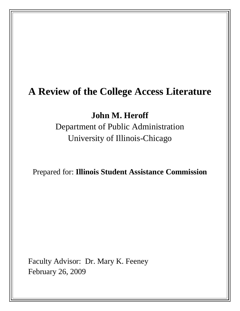# **A Review of the College Access Literature**

**John M. Heroff**

Department of Public Administration University of Illinois-Chicago

Prepared for: **Illinois Student Assistance Commission**

Faculty Advisor: Dr. Mary K. Feeney February 26, 2009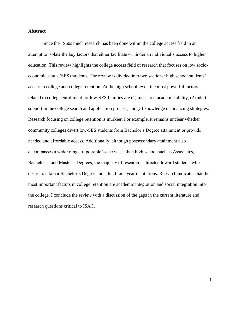### **Abstract**

Since the 1960s much research has been done within the college access field in an attempt to isolate the key factors that either facilitate or hinder an individual's access to higher education. This review highlights the college access field of research that focuses on low socioeconomic status (SES) students. The review is divided into two sections: high school students' access to college and college retention. At the high school level, the most powerful factors related to college enrollment for low-SES families are (1) measured academic ability, (2) adult support in the college search and application process, and (3) knowledge of financing strategies. Research focusing on college retention is murkier. For example, it remains unclear whether community colleges divert low-SES students from Bachelor's Degree attainment or provide needed and affordable access. Additionally, although postsecondary attainment also encompasses a wider range of possible "successes" than high school such as Associates, Bachelor's, and Master's Degrees, the majority of research is directed toward students who desire to attain a Bachelor's Degree and attend four-year institutions. Research indicates that the most important factors in college retention are academic integration and social integration into the college. I conclude the review with a discussion of the gaps in the current literature and research questions critical to ISAC.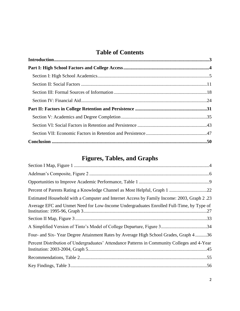# **Table of Contents**

# **Figures, Tables, and Graphs**

| Estimated Household with a Computer and Internet Access by Family Income: 2003, Graph 2.23   |
|----------------------------------------------------------------------------------------------|
| Average EFC and Unmet Need for Low-Income Undergraduates Enrolled Full-Time, by Type of      |
|                                                                                              |
|                                                                                              |
| Four- and Six-Year Degree Attainment Rates by Average High School Grades, Graph 436          |
| Percent Distribution of Undergraduates' Attendance Patterns in Community Colleges and 4-Year |
|                                                                                              |
|                                                                                              |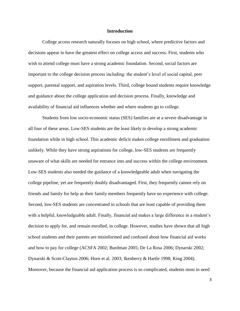#### **Introduction**

College access research naturally focuses on high school, where predictive factors and decisions appear to have the greatest effect on college access and success. First, students who wish to attend college must have a strong academic foundation. Second, social factors are important to the college decision process including: the student's level of social capital, peer support, parental support, and aspiration levels. Third, college bound students require knowledge and guidance about the college application and decision process. Finally, knowledge and availability of financial aid influences whether and where students go to college.

Students from low socio-economic status (SES) families are at a severe disadvantage in all four of these areas. Low-SES students are the least likely to develop a strong academic foundation while in high school. This academic deficit makes college enrollment and graduation unlikely. While they have strong aspirations for college, low-SES students are frequently unaware of what skills are needed for entrance into and success within the college environment. Low-SES students also needed the guidance of a knowledgeable adult when navigating the college pipeline, yet are frequently doubly disadvantaged. First, they frequently cannot rely on friends and family for help as their family members frequently have no experience with college. Second, low-SES students are concentrated in schools that are least capable of providing them with a helpful, knowledgeable adult. Finally, financial aid makes a large difference in a student's decision to apply for, and remain enrolled, in college. However, studies have shown that all high school students and their parents are misinformed and confused about how financial aid works and how to pay for college (ACSFA 2002; Burdman 2005; De La Rosa 2006; Dynarski 2002; Dynarski & Scott-Clayton 2006; Horn et al. 2003; Ikenberry & Hartle 1998; King 2004). Moreover, because the financial aid application process is so complicated, students most in need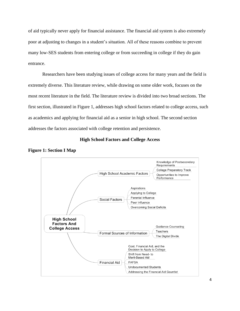of aid typically never apply for financial assistance. The financial aid system is also extremely poor at adjusting to changes in a student's situation. All of these reasons combine to prevent many low-SES students from entering college or from succeeding in college if they do gain entrance.

Researchers have been studying issues of college access for many years and the field is extremely diverse. This literature review, while drawing on some older work, focuses on the most recent literature in the field. The literature review is divided into two broad sections. The first section, illustrated in Figure 1, addresses high school factors related to college access, such as academics and applying for financial aid as a senior in high school. The second section addresses the factors associated with college retention and persistence.

# **High School Factors and College Access**



**Figure 1: Section I Map**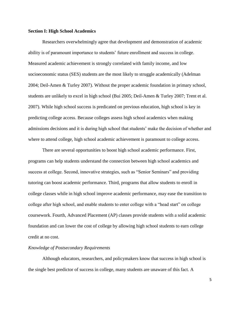#### **Section I: High School Academics**

Researchers overwhelmingly agree that development and demonstration of academic ability is of paramount importance to students' future enrollment and success in college. Measured academic achievement is strongly correlated with family income, and low socioeconomic status (SES) students are the most likely to struggle academically (Adelman 2004; Deil-Amen & Turley 2007). Without the proper academic foundation in primary school, students are unlikely to excel in high school (Bui 2005; Deil-Amen & Turley 2007; Trent et al. 2007). While high school success is predicated on previous education, high school is key in predicting college access. Because colleges assess high school academics when making admissions decisions and it is during high school that students' make the decision of whether and where to attend college, high school academic achievement is paramount to college access.

There are several opportunities to boost high school academic performance. First, programs can help students understand the connection between high school academics and success at college. Second, innovative strategies, such as "Senior Seminars" and providing tutoring can boost academic performance. Third, programs that allow students to enroll in college classes while in high school improve academic performance, may ease the transition to college after high school, and enable students to enter college with a "head start" on college coursework. Fourth, Advanced Placement (AP) classes provide students with a solid academic foundation and can lower the cost of college by allowing high school students to earn college credit at no cost.

#### *Knowledge of Postsecondary Requirements*

Although educators, researchers, and policymakers know that success in high school is the single best predictor of success in college, many students are unaware of this fact. A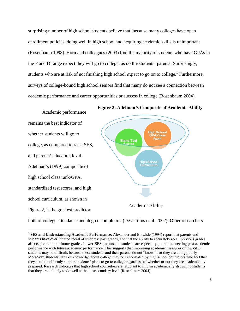surprising number of high school students believe that, because many colleges have open enrollment policies, doing well in high school and acquiring academic skills is unimportant (Rosenbaum 1998). Horn and colleagues (2003) find the majority of students who have GPAs in the F and D range expect they will go to college, as do the students' parents. Surprisingly, students who are at risk of not finishing high school *expect* to go on to college.<sup>1</sup> Furthermore, surveys of college-bound high school seniors find that many do not see a connection between academic performance and career opportunities or success in college (Rosenbaum 2004).



**Figure 2: Adelman's Composite of Academic Ability**

both of college attendance and degree completion (DesJardins et al. 2002). Other researchers

 $\overline{\phantom{a}}$ <sup>1</sup> SES and Understanding Academic Performance: Alexander and Entwisle (1994) report that parents and students have over inflated recall of students' past grades, and that the ability to accurately recall previous grades affects prediction of future grades. Lower-SES parents and students are especially poor at connecting past academic performance with future academic performance. This suggests that improving academic measures of low-SES students may be difficult, because these students and their parents do not "know" that they are doing poorly. Moreover, students' lack of knowledge about college may be exacerbated by high school counselors who feel that they should uniformly support students' plans to go to college regardless of whether or not they are academically prepared. Research indicates that high school counselors are reluctant to inform academically struggling students that they are unlikely to do well at the postsecondary level (Rosenbaum 2004).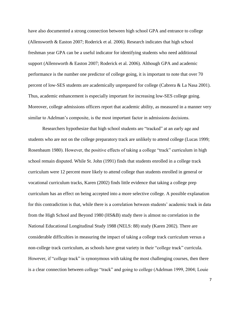have also documented a strong connection between high school GPA and entrance to college (Allensworth & Easton 2007; Roderick et al. 2006). Research indicates that high school freshman year GPA can be a useful indicator for identifying students who need additional support (Allensworth & Easton 2007; Roderick et al. 2006). Although GPA and academic performance is the number one predictor of college going, it is important to note that over 70 percent of low-SES students are academically unprepared for college (Cabrera & La Nasa 2001). Thus, academic enhancement is especially important for increasing low-SES college going. Moreover, college admissions officers report that academic ability, as measured in a manner very similar to Adelman's composite, is the most important factor in admissions decisions.

Researchers hypothesize that high school students are "tracked" at an early age and students who are not on the college preparatory track are unlikely to attend college (Lucas 1999; Rosenbaum 1980). However, the positive effects of taking a college "track" curriculum in high school remain disputed. While St. John (1991) finds that students enrolled in a college track curriculum were 12 percent more likely to attend college than students enrolled in general or vocational curriculum tracks, Karen (2002) finds little evidence that taking a college prep curriculum has an effect on being accepted into a more selective college. A possible explanation for this contradiction is that, while there is a correlation between students' academic track in data from the High School and Beyond 1980 (HS&B) study there is almost no correlation in the National Educational Longitudinal Study 1988 (NELS: 88) study (Karen 2002). There are considerable difficulties in measuring the impact of taking a college track curriculum versus a non-college track curriculum, as schools have great variety in their "college track" curricula. However, if "college track" is synonymous with taking the most challenging courses, then there is a clear connection between college "track" and going to college (Adelman 1999, 2004; Louie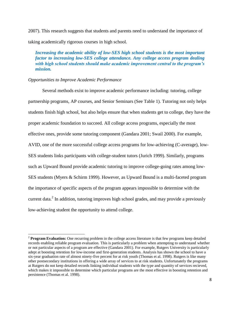2007). This research suggests that students and parents need to understand the importance of taking academically rigorous courses in high school.

*Increasing the academic ability of low-SES high school students is the most important factor to increasing low-SES college attendance. Any college access program dealing with high school students should make academic improvement central to the program's mission.* 

## *Opportunities to Improve Academic Performance*

 $\overline{\phantom{a}}$ 

Several methods exist to improve academic performance including: tutoring, college partnership programs, AP courses, and Senior Seminars (See Table 1). Tutoring not only helps students finish high school, but also helps ensure that when students get to college, they have the proper academic foundation to succeed. All college access programs, especially the most effective ones, provide some tutoring component (Gandara 2001; Swail 2000). For example, AVID, one of the more successful college access programs for low-achieving (C-average), low-SES students links participants with college-student tutors (Jurich 1999). Similarly, programs such as Upward Bound provide academic tutoring to improve college-going rates among low-SES students (Myers & Schirm 1999). However, as Upward Bound is a multi-faceted program the importance of specific aspects of the program appears impossible to determine with the current data. $^2$  In addition, tutoring improves high school grades, and may provide a previously low-achieving student the opportunity to attend college.

<sup>&</sup>lt;sup>2</sup> **Program Evaluation:** One recurring problem in the college access literature is that few programs keep detailed records enabling reliable program evaluation. This is particularly a problem when attempting to understand whether or not particular aspects of a program are effective (Gandara 2001). For example, Rutgers University is particularly adept at boosting retention for low-income and first-generation students. Analysis has shown the school to have a six-year graduation rate of almost ninety-five percent for at risk youth (Thomas et al. 1998). Rutgers is like many other postsecondary institutions in offering a wide array of services to at risk students. Unfortunately the programs at Rutgers do not keep detailed records linking individual students with the type and quantity of services recieved, which makes it impossible to determine which particular programs are the most effective in boosting retention and persistence (Thomas et al. 1998).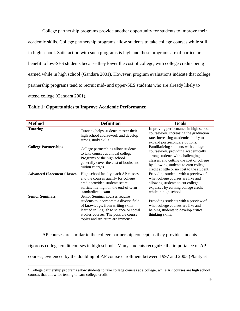College partnership programs provide another opportunity for students to improve their academic skills. College partnership programs allow students to take college courses while still in high school. Satisfaction with such programs is high and these programs are of particular benefit to low-SES students because they lower the cost of college, with college credits being earned while in high school (Gandara 2001). However, program evaluations indicate that college partnership programs tend to recruit mid- and upper-SES students who are already likely to attend college (Gandara 2001).

| <b>Method</b>                     | <b>Definition</b>                                                                                                                                                                                                                      | Goals                                                                                                                                                                                                                                            |
|-----------------------------------|----------------------------------------------------------------------------------------------------------------------------------------------------------------------------------------------------------------------------------------|--------------------------------------------------------------------------------------------------------------------------------------------------------------------------------------------------------------------------------------------------|
| <b>Tutoring</b>                   | Tutoring helps students master their<br>high school coursework and develop<br>strong study skills.                                                                                                                                     | Improving performance in high school<br>coursework. Increasing the graduation<br>rate. Increasing academic ability to<br>expand postsecondary options.                                                                                           |
| <b>College Partnerships</b>       | College partnerships allow students<br>to take courses at a local college.<br>Programs or the high school<br>generally cover the cost of books and<br>tuition charges.                                                                 | Familiarizing students with college<br>coursework, providing academically<br>strong students with challenging<br>classes, and cutting the cost of college<br>by allowing students to earn college<br>credit at little or no cost to the student. |
| <b>Advanced Placement Classes</b> | High school faculty teach AP classes<br>and the courses qualify for college<br>credit provided students score<br>sufficiently high on the end-of-term<br>standardized exam.                                                            | Providing students with a preview of<br>what college courses are like and<br>allowing students to cut college<br>expenses by earning college credit<br>while in high school.                                                                     |
| <b>Senior Seminars</b>            | Senior Seminar courses require<br>students to incorporate a diverse field<br>of knowledge, from writing skills<br>learned in English to science or social<br>studies courses. The possible course<br>topics and structure are immense. | Providing students with a preview of<br>what college courses are like and<br>helping students to develop critical<br>thinking skills.                                                                                                            |

#### **Table 1: Opportunities to Improve Academic Performance**

 $\overline{a}$ 

AP courses are similar to the college partnership concept, as they provide students rigorous college credit courses in high school.<sup>3</sup> Many students recognize the importance of  $AP$ courses, evidenced by the doubling of AP course enrollment between 1997 and 2005 (Planty et

<sup>&</sup>lt;sup>3</sup> College partnership programs allow students to take college courses at a college, while AP courses are high school courses that allow for testing to earn college credit.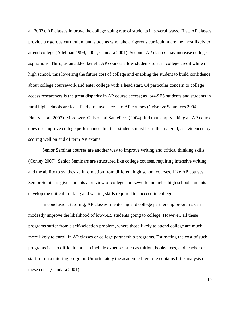al. 2007). AP classes improve the college going rate of students in several ways. First, AP classes provide a rigorous curriculum and students who take a rigorous curriculum are the most likely to attend college (Adelman 1999, 2004; Gandara 2001). Second, AP classes may increase college aspirations. Third, as an added benefit AP courses allow students to earn college credit while in high school, thus lowering the future cost of college and enabling the student to build confidence about college coursework and enter college with a head start. Of particular concern to college access researchers is the great disparity in AP course access; as low-SES students and students in rural high schools are least likely to have access to AP courses (Geiser & Santelices 2004; Planty, et al. 2007). Moreover, Geiser and Santelices (2004) find that simply taking an AP course does not improve college performance, but that students must learn the material, as evidenced by scoring well on end of term AP exams.

Senior Seminar courses are another way to improve writing and critical thinking skills (Conley 2007). Senior Seminars are structured like college courses, requiring intensive writing and the ability to synthesize information from different high school courses. Like AP courses, Senior Seminars give students a preview of college coursework and helps high school students develop the critical thinking and writing skills required to succeed in college.

In conclusion, tutoring, AP classes, mentoring and college partnership programs can modestly improve the likelihood of low-SES students going to college. However, all these programs suffer from a self-selection problem, where those likely to attend college are much more likely to enroll in AP classes or college partnership programs. Estimating the cost of such programs is also difficult and can include expenses such as tuition, books, fees, and teacher or staff to run a tutoring program. Unfortunately the academic literature contains little analysis of these costs (Gandara 2001).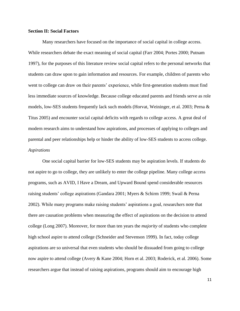### **Section II: Social Factors**

Many researchers have focused on the importance of social capital in college access. While researchers debate the exact meaning of social capital (Farr 2004; Portes 2000; Putnam 1997), for the purposes of this literature review social capital refers to the personal networks that students can draw upon to gain information and resources. For example, children of parents who went to college can draw on their parents' experience, while first-generation students must find less immediate sources of knowledge. Because college educated parents and friends serve as role models, low-SES students frequently lack such models (Horvat, Weininger, et al. 2003; Perna & Titus 2005) and encounter social capital deficits with regards to college access. A great deal of modern research aims to understand how aspirations, and processes of applying to colleges and parental and peer relationships help or hinder the ability of low-SES students to access college. *Aspirations* 

One social capital barrier for low-SES students may be aspiration levels. If students do not aspire to go to college, they are unlikely to enter the college pipeline. Many college access programs, such as AVID, I Have a Dream, and Upward Bound spend considerable resources raising students' college aspirations (Gandara 2001; Myers & Schirm 1999; Swail & Perna 2002). While many programs make raising students' aspirations a goal, researchers note that there are causation problems when measuring the effect of aspirations on the decision to attend college (Long 2007). Moreover, for more than ten years the *majority* of students who complete high school aspire to attend college (Schneider and Stevenson 1999). In fact, today college aspirations are so universal that even students who should be dissuaded from going to college now aspire to attend college (Avery & Kane 2004; Horn et al. 2003; Roderick, et al. 2006). Some researchers argue that instead of raising aspirations, programs should aim to encourage high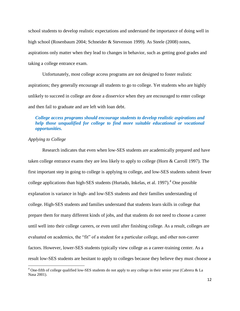school students to develop realistic expectations and understand the importance of doing well in high school (Rosenbaum 2004; Schneider & Stevenson 1999). As Steele (2008) notes, aspirations only matter when they lead to changes in behavior, such as getting good grades and taking a college entrance exam.

Unfortunately, most college access programs are not designed to foster realistic aspirations; they generally encourage all students to go to college. Yet students who are highly unlikely to succeed in college are done a disservice when they are encouraged to enter college and then fail to graduate and are left with loan debt.

# *College access programs should encourage students to develop realistic aspirations and help those unqualified for college to find more suitable educational or vocational opportunities.*

# *Applying to College*

 $\overline{a}$ 

Research indicates that even when low-SES students are academically prepared and have taken college entrance exams they are less likely to apply to college (Horn & Carroll 1997). The first important step in going to college is applying to college, and low-SES students submit fewer college applications than high-SES students (Hurtado, Inkelas, et al. 1997).<sup>4</sup> One possible explanation is variance in high- and low-SES students and their families understanding of college. High-SES students and families understand that students learn skills in college that prepare them for many different kinds of jobs, and that students do not need to choose a career until well into their college careers, or even until after finishing college. As a result, colleges are evaluated on academics, the "fit" of a student for a particular college, and other non-career factors. However, lower-SES students typically view college as a career-training center. As a result low-SES students are hesitant to apply to colleges because they believe they must choose a

<sup>&</sup>lt;sup>4</sup> One-fifth of college qualified low-SES students do not apply to any college in their senior year (Cabrera & La Nasa 2001).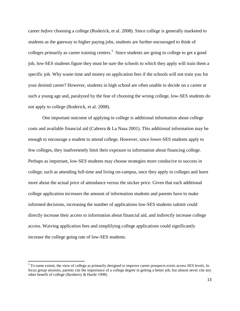career *before* choosing a college (Roderick, et al. 2008). Since college is generally marketed to students as the gateway to higher paying jobs, students are further encouraged to think of colleges primarily as career training centers.<sup>5</sup> Since students are going to college to get a good job, low-SES students figure they must be sure the schools to which they apply will train them a specific job. Why waste time and money on application fees if the schools will not train you for your desired career? However, students in high school are often unable to decide on a career at such a young age and, paralyzed by the fear of choosing the wrong college, low-SES students do not apply to college (Roderick, et al. 2008).

One important outcome of applying to college is additional information about college costs and available financial aid (Cabrera & La Nasa 2001). This additional information may be enough to encourage a student to attend college. However, since lower-SES students apply to few colleges, they inadvertently limit their exposure to information about financing college. Perhaps as important, low-SES students may choose strategies more conducive to success in college, such as attending full-time and living on-campus, once they apply to colleges and learn more about the actual price of attendance versus the sticker price. Given that each additional college application increases the amount of information students and parents have to make informed decisions, increasing the number of applications low-SES students submit could directly increase their access to information about financial aid, and indirectly increase college access. Waiving application fees and simplifying college applications could significantly increase the college going rate of low-SES students.

 $\overline{\phantom{a}}$ 

 $<sup>5</sup>$  To some extent, the view of college as primarily designed to improve career prospects exists across SES levels. In</sup> focus group sessions, parents cite the importance of a college degree in getting a better job, but almost never cite any other benefit of college (Ikenberry & Hartle 1998).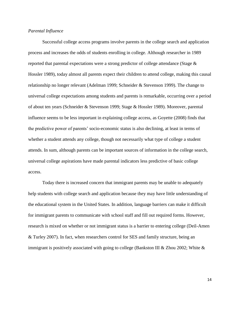## *Parental Influence*

Successful college access programs involve parents in the college search and application process and increases the odds of students enrolling in college. Although researcher in 1989 reported that parental expectations were a strong predictor of college attendance (Stage & Hossler 1989), today almost all parents expect their children to attend college, making this causal relationship no longer relevant (Adelman 1999; Schneider & Stevenson 1999). The change to universal college expectations among students and parents is remarkable, occurring over a period of about ten years (Schneider & Stevenson 1999; Stage & Hossler 1989). Moreover, parental influence seems to be less important in explaining college access, as Goyette (2008) finds that the predictive power of parents' socio-economic status is also declining, at least in terms of whether a student attends any college, though not necessarily what type of college a student attends. In sum, although parents can be important sources of information in the college search, universal college aspirations have made parental indicators less predictive of basic college access.

Today there is increased concern that immigrant parents may be unable to adequately help students with college search and application because they may have little understanding of the educational system in the United States. In addition, language barriers can make it difficult for immigrant parents to communicate with school staff and fill out required forms. However, research is mixed on whether or not immigrant status is a barrier to entering college (Deil-Amen & Turley 2007). In fact, when researchers control for SES and family structure, being an immigrant is positively associated with going to college (Bankston III & Zhou 2002; White  $\&$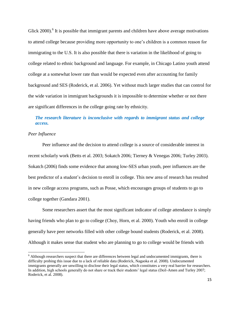Glick  $2000$ .<sup>6</sup> It is possible that immigrant parents and children have above average motivations to attend college because providing more opportunity to one's children is a common reason for immigrating to the U.S. It is also possible that there is variation in the likelihood of going to college related to ethnic background and language. For example, in Chicago Latino youth attend college at a somewhat lower rate than would be expected even after accounting for family background and SES (Roderick, et al. 2006). Yet without much larger studies that can control for the wide variation in immigrant backgrounds it is impossible to determine whether or not there are significant differences in the college going rate by ethnicity.

# *The research literature is inconclusive with regards to immigrant status and college access.*

# *Peer Influence*

l

Peer influence and the decision to attend college is a source of considerable interest in recent scholarly work (Betts et al. 2003; Sokatch 2006; Tierney & Venegas 2006; Turley 2003). Sokatch (2006) finds some evidence that among low-SES urban youth, peer influences are the best predictor of a student's decision to enroll in college. This new area of research has resulted in new college access programs, such as Posse, which encourages groups of students to go to college together (Gandara 2001).

Some researchers assert that the most significant indicator of college attendance is simply having friends who plan to go to college (Choy, Horn, et al. 2000). Youth who enroll in college generally have peer networks filled with other college bound students (Roderick, et al. 2008). Although it makes sense that student who are planning to go to college would be friends with

<sup>&</sup>lt;sup>6</sup> Although researchers suspect that there are differences between legal and undocumented immigrants, there is difficulty probing this issue due to a lack of reliable data (Roderick, Nagaoka et al. 2008). Undocumented immigrants generally are unwilling to disclose their legal status, which constitutes a very real barrier for researchers. In addition, high schools generally do not share or track their students' legal status (Deil-Amen and Turley 2007; Roderick, et al. 2008).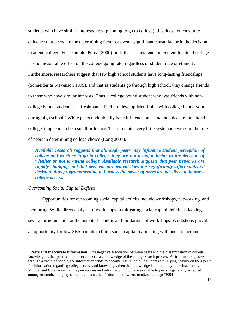students who have similar interests, (e.g. planning to go to college); this does not constitute evidence that peers are the determining factor or even a significant causal factor in the decision to attend college. For example, Perna (2000) finds that friends' encouragement to attend college has no measurable effect on the college going rate, regardless of student race or ethnicity. Furthermore, researchers suggest that few high school students have long-lasting friendships (Schneider & Stevenson 1999), and that as students go through high school, they change friends to those who have similar interests. Thus, a college bound student who was friends with noncollege bound students as a freshman is likely to develop friendships with college bound youth during high school.<sup>7</sup> While peers undoubtedly have influence on a student's decision to attend college, it appears to be a small influence. There remains very little systematic work on the role of peers in determining college choice (Long 2007).

*Available research suggests that although peers may influence student perception of college and whether to go to college, they are not a major factor in the decision of whether or not to attend college. Available research suggests that peer networks are rapidly changing and that peer encouragement does not significantly affect students' decision, thus programs seeking to harness the power of peers are not likely to improve college access.*

## *Overcoming Social Capital Deficits*

 $\overline{\phantom{a}}$ 

Opportunities for overcoming social capital deficits include workshops, networking, and mentoring. While direct analysis of workshops in mitigating social capital deficits is lacking, several programs hint at the potential benefits and limitations of workshops. Workshops provide an opportunity for low-SES parents to build social capital by meeting with one another and

<sup>7</sup> **Peers and Inaccurate Information:** One negative association between peers and the dissemination of college knowledge is that peers can reinforce inaccurate knowledge of the college search process. As information passes through a chain of people, the information tends to become less reliable. If students are relying heavily on their peers for information regarding college access and knowledge, then that knowledge is more likely to be inaccurate. Mundel and Coles note that the perceptions and information of college available to peers is generally accepted among researchers to play some role in a student's decision of where to attend college (2004).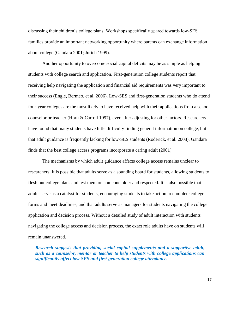discussing their children's college plans. Workshops specifically geared towards low-SES families provide an important networking opportunity where parents can exchange information about college (Gandara 2001; Jurich 1999).

Another opportunity to overcome social capital deficits may be as simple as helping students with college search and application. First-generation college students report that receiving help navigating the application and financial aid requirements was very important to their success (Engle, Bermeo, et al. 2006). Low-SES and first-generation students who do attend four-year colleges are the most likely to have received help with their applications from a school counselor or teacher (Horn & Carroll 1997), even after adjusting for other factors. Researchers have found that many students have little difficulty finding general information on college, but that adult guidance is frequently lacking for low-SES students (Roderick, et al. 2008). Gandara finds that the best college access programs incorporate a caring adult (2001).

The mechanisms by which adult guidance affects college access remains unclear to researchers. It is possible that adults serve as a sounding board for students, allowing students to flesh out college plans and test them on someone older and respected. It is also possible that adults serve as a catalyst for students, encouraging students to take action to complete college forms and meet deadlines, and that adults serve as managers for students navigating the college application and decision process. Without a detailed study of adult interaction with students navigating the college access and decision process, the exact role adults have on students will remain unanswered.

*Research suggests that providing social capital supplements and a supportive adult, such as a counselor, mentor or teacher to help students with college applications can significantly affect low-SES and first-generation college attendance.*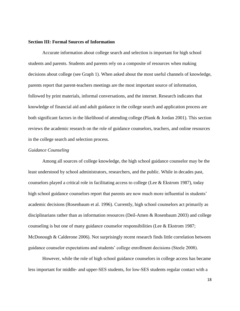#### **Section III: Formal Sources of Information**

Accurate information about college search and selection is important for high school students and parents. Students and parents rely on a composite of resources when making decisions about college (see Graph 1). When asked about the most useful channels of knowledge, parents report that parent-teachers meetings are the most important source of information, followed by print materials, informal conversations, and the internet. Research indicates that knowledge of financial aid and adult guidance in the college search and application process are both significant factors in the likelihood of attending college (Plank & Jordan 2001). This section reviews the academic research on the role of guidance counselors, teachers, and online resources in the college search and selection process.

#### *Guidance Counseling*

Among all sources of college knowledge, the high school guidance counselor may be the least understood by school administrators, researchers, and the public. While in decades past, counselors played a critical role in facilitating access to college (Lee  $&$  Ekstrom 1987), today high school guidance counselors report that parents are now much more influential in students' academic decisions (Rosenbaum et al. 1996). Currently, high school counselors act primarily as disciplinarians rather than as information resources (Deil-Amen & Rosenbaum 2003) and college counseling is but one of many guidance counselor responsibilities (Lee & Ekstrom 1987; McDonough & Calderone 2006). Not surprisingly recent research finds little correlation between guidance counselor expectations and students' college enrollment decisions (Steele 2008).

However, while the role of high school guidance counselors in college access has became less important for middle- and upper-SES students, for low-SES students regular contact with a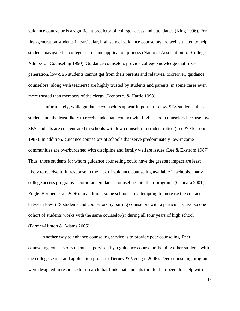guidance counselor is a significant predictor of college access and attendance (King 1996). For first-generation students in particular, high school guidance counselors are well situated to help students navigate the college search and application process (National Association for College Admission Counseling 1990). Guidance counselors provide college knowledge that firstgeneration, low-SES students cannot get from their parents and relatives. Moreover, guidance counselors (along with teachers) are highly trusted by students and parents, in some cases even more trusted than members of the clergy (Ikenberry & Hartle 1998).

Unfortunately, while guidance counselors appear important to low-SES students, these students are the least likely to receive adequate contact with high school counselors because low-SES students are concentrated in schools with low counselor to student ratios (Lee & Ekstrom 1987). In addition, guidance counselors at schools that serve predominately low-income communities are overburdened with discipline and family welfare issues (Lee & Ekstrom 1987). Thus, those students for whom guidance counseling could have the greatest impact are least likely to receive it. In response to the lack of guidance counseling available in schools, many college access programs incorporate guidance counseling into their programs (Gandara 2001; Engle, Bermeo et al. 2006). In addition, some schools are attempting to increase the contact between low-SES students and counselors by pairing counselors with a particular class, so one cohort of students works with the same counselor(s) during all four years of high school (Farmer-Hinton & Adams 2006).

Another way to enhance counseling service is to provide peer counseling. Peer counseling consists of students, supervised by a guidance counselor, helping other students with the college search and application process (Tierney & Venegas 2006). Peer-counseling programs were designed in response to research that finds that students turn to their peers for help with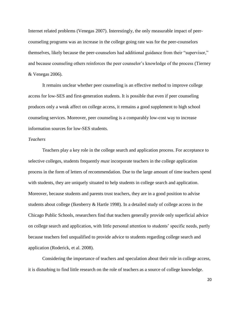Internet related problems (Venegas 2007). Interestingly, the only measurable impact of peercounseling programs was an increase in the college going rate was for the peer-counselors themselves, likely because the peer-counselors had additional guidance from their "supervisor," and because counseling others reinforces the peer counselor's knowledge of the process (Tierney & Venegas 2006).

It remains unclear whether peer counseling is an effective method to improve college access for low-SES and first-generation students. It is possible that even if peer counseling produces only a weak affect on college access, it remains a good supplement to high school counseling services. Moreover, peer counseling is a comparably low-cost way to increase information sources for low-SES students.

#### *Teachers*

Teachers play a key role in the college search and application process. For acceptance to selective colleges, students frequently *must* incorporate teachers in the college application process in the form of letters of recommendation. Due to the large amount of time teachers spend with students, they are uniquely situated to help students in college search and application. Moreover, because students and parents trust teachers, they are in a good position to advise students about college (Ikenberry & Hartle 1998). In a detailed study of college access in the Chicago Public Schools, researchers find that teachers generally provide only superficial advice on college search and application, with little personal attention to students' specific needs, partly because teachers feel unqualified to provide advice to students regarding college search and application (Roderick, et al. 2008).

Considering the importance of teachers and speculation about their role in college access, it is disturbing to find little research on the role of teachers as a source of college knowledge.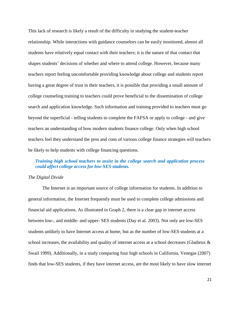This lack of research is likely a result of the difficulty in studying the student-teacher relationship. While interactions with guidance counselors can be easily monitored, almost all students have relatively equal contact with their teachers; it is the nature of that contact that shapes students' decisions of whether and where to attend college. However, because many teachers report feeling uncomfortable providing knowledge about college and students report having a great degree of trust in their teachers, it is possible that providing a small amount of college counseling training to teachers could prove beneficial to the dissemination of college search and application knowledge. Such information and training provided to teachers must go beyond the superficial - telling students to complete the FAFSA or apply to college - and give teachers an understanding of how modern students finance college. Only when high school teachers feel they understand the pros and cons of various college finance strategies will teachers be likely to help students with college financing questions.

# *Training high school teachers to assist in the college search and application process could affect college access for low-SES students.*

# *The Digital Divide*

The Internet is an important source of college information for students. In addition to general information, the Internet frequently must be used to complete college admissions and financial aid applications. As illustrated in Graph 2, there is a clear gap in internet access between low-, and middle- and upper- SES students (Day et al. 2003). Not only are low-SES students unlikely to have Internet access at home, but as the number of low-SES students at a school increases, the availability and quality of internet access at a school decreases (Gladieux & Swail 1999). Additionally, in a study comparing four high schools in California, Venegas (2007) finds that low-SES students, if they have internet access, are the most likely to have slow internet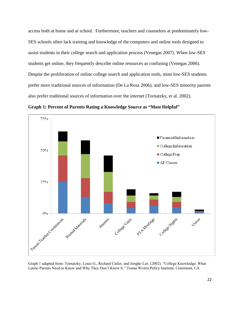access both at home and at school. Furthermore, teachers and counselors at predominately low-SES schools often lack training and knowledge of the computers and online tools designed to assist students in their college search and application process (Venegas 2007). When low-SES students get online, they frequently describe online resources as confusing (Venegas 2006). Despite the proliferation of online college search and application tools, most low-SES students prefer more traditional sources of information (De La Rosa 2006), and low-SES minority parents also prefer traditional sources of information over the internet (Tornatzky, et al. 2002).



**Graph 1: Percent of Parents Rating a Knowledge Source as "Most Helpful"**

Graph 1 adapted from: Tornatzky, Louis G., Richard Cutler, and Jongho Lee. (2002). "College Knowledge: What Latino Parents Need to Know and Why They Don't Know It." Tomas Rivera Policy Institute, Claremont, CA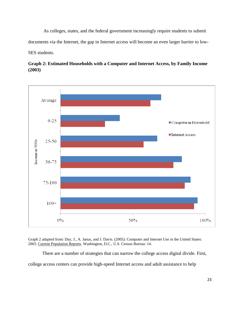As colleges, states, and the federal government increasingly require students to submit documents via the Internet, the gap in Internet access will become an even larger barrier to low-SES students.



**Graph 2: Estimated Households with a Computer and Internet Access, by Family Income (2003)**

Graph 2 adapted from: Day, J., A. Janus, and J. Davis. (2005). Computer and Internet Use in the United States: 2003. Current Population Reports. Washington, D.C., U.S. Census Bureau: 14.

There are a number of strategies that can narrow the college access digital divide. First, college access centers can provide high-speed Internet access and adult assistance to help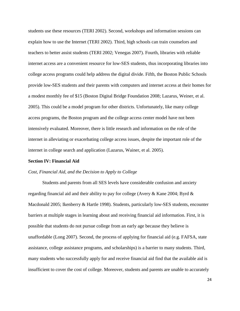students use these resources (TERI 2002). Second, workshops and information sessions can explain how to use the Internet (TERI 2002). Third, high schools can train counselors and teachers to better assist students (TERI 2002; Venegas 2007). Fourth, libraries with reliable internet access are a convenient resource for low-SES students, thus incorporating libraries into college access programs could help address the digital divide. Fifth, the Boston Public Schools provide low-SES students and their parents with computers and internet access at their homes for a modest monthly fee of \$15 (Boston Digital Bridge Foundation 2008; Lazarus, Weiner, et al. 2005). This could be a model program for other districts. Unfortunately, like many college access programs, the Boston program and the college access center model have not been intensively evaluated. Moreover, there is little research and information on the role of the internet in alleviating or exacerbating college access issues, despite the important role of the internet in college search and application (Lazarus, Wainer, et al. 2005).

# **Section IV: Financial Aid**

#### *Cost, Financial Aid, and the Decision to Apply to College*

Students and parents from all SES levels have considerable confusion and anxiety regarding financial aid and their ability to pay for college (Avery & Kane 2004; Byrd & Macdonald 2005; Ikenberry & Hartle 1998). Students, particularly low-SES students, encounter barriers at multiple stages in learning about and receiving financial aid information. First, it is possible that students do not pursue college from an early age because they believe is unaffordable (Long 2007). Second, the process of applying for financial aid (e.g. FAFSA, state assistance, college assistance programs, and scholarships) is a barrier to many students. Third, many students who successfully apply for and receive financial aid find that the available aid is insufficient to cover the cost of college. Moreover, students and parents are unable to accurately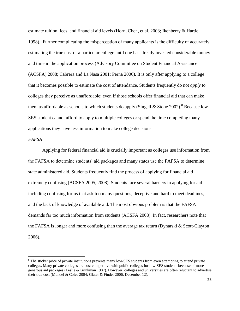estimate tuition, fees, and financial aid levels (Horn, Chen, et al. 2003; Ikenberry & Hartle 1998). Further complicating the misperception of many applicants is the difficulty of accurately estimating the true cost of a particular college until one has already invested considerable money and time in the application process (Advisory Committee on Student Financial Assistance (ACSFA) 2008; Cabrera and La Nasa 2001; Perna 2006). It is only after applying to a college that it becomes possible to estimate the cost of attendance. Students frequently do not *apply* to colleges they perceive as unaffordable; even if those schools offer financial aid that can make them as affordable as schools to which students do apply (Singell & Stone 2002).<sup>8</sup> Because low-SES student cannot afford to apply to multiple colleges or spend the time completing many applications they have less information to make college decisions.

## *FAFSA*

 $\overline{a}$ 

Applying for federal financial aid is crucially important as colleges use information from the FAFSA to determine students' aid packages and many states use the FAFSA to determine state administered aid. Students frequently find the process of applying for financial aid extremely confusing (ACSFA 2005, 2008). Students face several barriers in applying for aid including confusing forms that ask too many questions, deceptive and hard to meet deadlines, and the lack of knowledge of available aid. The most obvious problem is that the FAFSA demands far too much information from students (ACSFA 2008). In fact, researchers note that the FAFSA is longer and more confusing than the average tax return (Dynarski & Scott-Clayton 2006).

<sup>&</sup>lt;sup>8</sup> The sticker price of private institutions prevents many low-SES students from even attempting to attend private colleges. Many private colleges are cost competitive with public colleges for low-SES students because of more generous aid packages (Leslie & Brinkman 1987). However, colleges and universities are often reluctant to advertise their true cost (Mundel & Coles 2004; Glater & Finder 2006, December 12).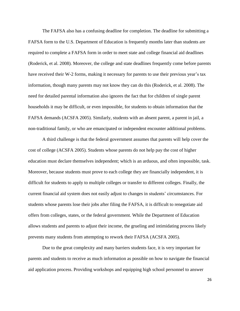The FAFSA also has a confusing deadline for completion. The deadline for submitting a FAFSA form to the U.S. Department of Education is frequently months later than students are required to complete a FAFSA form in order to meet state and college financial aid deadlines (Roderick, et al. 2008). Moreover, the college and state deadlines frequently come before parents have received their W-2 forms, making it necessary for parents to use their previous year's tax information, though many parents may not know they can do this (Roderick, et al. 2008). The need for detailed parental information also ignores the fact that for children of single parent households it may be difficult, or even impossible, for students to obtain information that the FAFSA demands (ACSFA 2005). Similarly, students with an absent parent, a parent in jail, a non-traditional family, or who are emancipated or independent encounter additional problems.

A third challenge is that the federal government assumes that parents will help cover the cost of college (ACSFA 2005). Students whose parents do not help pay the cost of higher education must declare themselves independent; which is an arduous, and often impossible, task. Moreover, because students must prove to each college they are financially independent, it is difficult for students to apply to multiple colleges or transfer to different colleges. Finally, the current financial aid system does not easily adjust to changes in students' circumstances. For students whose parents lose their jobs after filing the FAFSA, it is difficult to renegotiate aid offers from colleges, states, or the federal government. While the Department of Education allows students and parents to adjust their income, the grueling and intimidating process likely prevents many students from attempting to rework their FAFSA (ACSFA 2005).

Due to the great complexity and many barriers students face, it is very important for parents and students to receive as much information as possible on how to navigate the financial aid application process. Providing workshops and equipping high school personnel to answer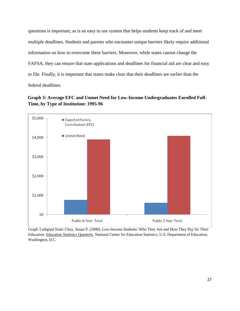questions is important; as is an easy to use system that helps students keep track of and meet multiple deadlines. Students and parents who encounter unique barriers likely require additional information on how to overcome these barriers. Moreover, while states cannot change the FAFSA, they can ensure that state applications and deadlines for financial aid are clear and easy to file. Finally, it is important that states make clear that their deadlines are earlier than the federal deadlines.

**Graph 3: Average EFC and Unmet Need for Low-Income Undergraduates Enrolled Full-Time, by Type of Institution: 1995-96**



Graph 3 adapted from: Choy, Susan P. (2000). Low-Income Students: Who They Are and How They Pay for Their Education. Education Statistics Quarterly. National Center for Education Statistics, U.S. Department of Education, Washington, D.C.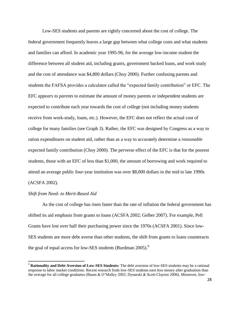Low-SES students and parents are rightly concerned about the cost of college. The federal government frequently leaves a large gap between what college costs and what students and families can afford. In academic year 1995-96, for the average low-income student the difference between all student aid, including grants, government backed loans, and work study and the cost of attendance was \$4,800 dollars (Choy 2000). Further confusing parents and students the FAFSA provides a calculator called the "expected family contribution" or EFC. The EFC *appears to parents* to estimate the amount of money parents or independent students are expected to contribute each year towards the cost of college (not including money students receive from work-study, loans, etc.). However, the EFC does not reflect the actual cost of college for many families (see Graph 3). Rather, the EFC was designed by Congress as a way to ration expenditures on student aid, rather than as a way to accurately determine a *reasonable* expected family contribution (Choy 2000). The perverse effect of the EFC is that for the poorest students, those with an EFC of less than \$1,000, the amount of borrowing and work required to attend an average public four-year institution was over \$8,000 dollars in the mid to late 1990s (ACSFA 2002).

#### *Shift from Need- to Merit-Based Aid*

 $\overline{\phantom{a}}$ 

As the cost of college has risen faster than the rate of inflation the federal government has shifted its aid emphasis from grants to loans (ACSFA 2002; Gelber 2007). For example, Pell Grants have lost over half their purchasing power since the 1970s (ACSFA 2001). Since low-SES students are more debt averse than other students, the shift from grants to loans counteracts the goal of equal access for low-SES students (Burdman 2005).<sup>9</sup>

<sup>9</sup> **Rationality and Debt Aversion of Low-SES Students:** The debt aversion of low-SES students may be a rational response to labor market conditions. Recent research finds low-SES students earn less money after graduation than the average for all college graduates (Baum & O'Malley 2002; Dynarski & Scott-Clayton 2006). Moreover, low-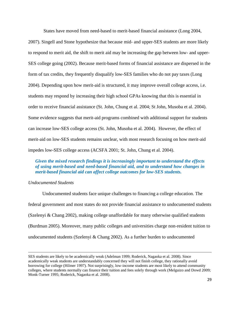States have moved from need-based to merit-based financial assistance (Long 2004,

2007). Singell and Stone hypothesize that because mid- and upper-SES students are more likely to respond to merit aid, the shift to merit aid may be increasing the gap between low- and upper-SES college going (2002). Because merit-based forms of financial assistance are dispersed in the form of tax credits, they frequently disqualify low-SES families who do not pay taxes (Long 2004). Depending upon how merit-aid is structured, it may improve overall college access, i.e. students may respond by increasing their high school GPAs knowing that this is essential in order to receive financial assistance (St. John, Chung et al. 2004; St John, Musoba et al. 2004). Some evidence suggests that merit-aid programs combined with additional support for students can increase low-SES college access (St. John, Musoba et al. 2004). However, the effect of merit-aid on low-SES students remains unclear, with most research focusing on how merit-aid impedes low-SES college access (ACSFA 2001; St. John, Chung et al. 2004).

# *Given the mixed research findings it is increasingly important to understand the effects of using merit-based and need-based financial aid, and to understand how changes in merit-based financial aid can affect college outcomes for low-SES students.*

# *Undocumented Students*

l

Undocumented students face unique challenges to financing a college education. The federal government and most states do not provide financial assistance to undocumented students (Szelenyi & Chang 2002), making college unaffordable for many otherwise qualified students (Burdman 2005). Moreover, many public colleges and universities charge non-resident tuition to undocumented students (Szelenyi & Chang 2002). As a further burden to undocumented

SES students are likely to be academically weak (Adelman 1999; Roderick, Nagaoka et al. 2008). Since academically weak students are understandably concerned they will not finish college, they rationally avoid borrowing for college (Hilmer 1997). Not surprisingly, low-income students are most likely to attend community colleges, where students normally can finance their tuition and fees solely through work (Melguizo and Dowd 2009; Monk-Turner 1995; Roderick, Nagaoka et al. 2008).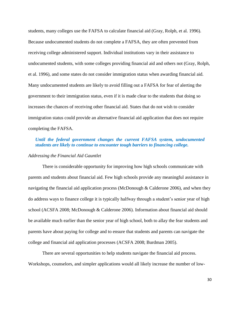students, many colleges use the FAFSA to calculate financial aid (Gray, Rolph, et al. 1996). Because undocumented students do not complete a FAFSA, they are often prevented from receiving college administered support. Individual institutions vary in their assistance to undocumented students, with some colleges providing financial aid and others not (Gray, Rolph, et al. 1996), and some states do not consider immigration status when awarding financial aid. Many undocumented students are likely to avoid filling out a FAFSA for fear of alerting the government to their immigration status, even if it is made clear to the students that doing so increases the chances of receiving other financial aid. States that do not wish to consider immigration status could provide an alternative financial aid application that does not require completing the FAFSA.

# *Until the federal government changes the current FAFSA system, undocumented students are likely to continue to encounter tough barriers to financing college.*

## *Addressing the Financial Aid Gauntlet*

There is considerable opportunity for improving how high schools communicate with parents and students about financial aid. Few high schools provide any meaningful assistance in navigating the financial aid application process (McDonough & Calderone 2006), and when they do address ways to finance college it is typically halfway through a student's senior year of high school (ACSFA 2008; McDonough & Calderone 2006). Information about financial aid should be available much earlier than the senior year of high school, both to allay the fear students and parents have about paying for college and to ensure that students and parents can navigate the college and financial aid application processes (ACSFA 2008; Burdman 2005).

There are several opportunities to help students navigate the financial aid process. Workshops, counselors, and simpler applications would all likely increase the number of low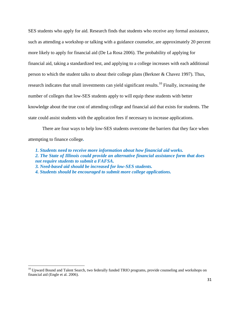SES students who apply for aid. Research finds that students who receive any formal assistance, such as attending a workshop or talking with a guidance counselor, are approximately 20 percent more likely to apply for financial aid (De La Rosa 2006). The probability of applying for financial aid, taking a standardized test, and applying to a college increases with each additional person to which the student talks to about their college plans (Berkner & Chavez 1997). Thus, research indicates that small investments can yield significant results.<sup>10</sup> Finally, increasing the number of colleges that low-SES students apply to will equip these students with better knowledge about the true cost of attending college and financial aid that exists for students. The state could assist students with the application fees if necessary to increase applications.

There are four ways to help low-SES students overcome the barriers that they face when attempting to finance college*.* 

*1. Students need to receive more information about how financial aid works. 2. The State of Illinois could provide an alternative financial assistance form that does not require students to submit a FAFSA. 3. Need-based aid should be increased for low-SES students. 4. Students should be encouraged to submit more college applications.*

 $\overline{a}$ 

<sup>&</sup>lt;sup>10</sup> Upward Bound and Talent Search, two federally funded TRIO programs, provide counseling and workshops on financial aid (Engle et al. 2006).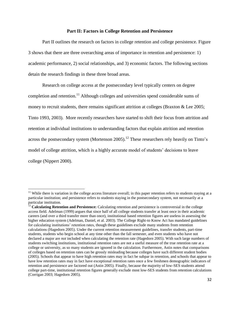#### **Part II: Factors in College Retention and Persistence**

Part II outlines the research on factors in college retention and college persistence. Figure 3 shows that there are three overarching areas of importance in retention and persistence: 1) academic performance, 2) social relationships, and 3) economic factors. The following sections detain the research findings in these three broad areas.

Research on college access at the postsecondary level typically centers on degree completion and retention.<sup>11</sup> Although colleges and universities spend considerable sums of money to recruit students, there remains significant attrition at colleges (Braxton & Lee 2005; Tinto 1993, 2003). More recently researchers have started to shift their focus from attrition and retention at individual institutions to understanding factors that explain attrition and retention across the postsecondary system (Mortenson 2005).<sup>12</sup> These researchers rely heavily on Tinto's model of college attrition, which is a highly accurate model of students' decisions to leave college (Nippert 2000).

 $\overline{\phantom{a}}$ 

 $11$  While there is variation in the college access literature overall; in this paper retention refers to students staying at a particular institution; and persistence refers to students staying in the postsecondary system, not necessarily at a particular institution.

<sup>&</sup>lt;sup>12</sup> Calculating Retention and Persistence: Calculating retention and persistence is controversial in the college access field. Adelman (1999) argues that since half of all college students transfer at least once in their academic careers (and over a third transfer more than once), institutional based retention figures are useless in assessing the higher education system (Adelman, Daniel, et al. 2003). The College Right-to Know Act has mandated guidelines for calculating institutions' retention rates, though these guidelines exclude many students from retention calculations (Hagedorn 2005). Under the current retention measurement guidelines, transfer students, part-time students, students who begin school at any time other than the fall semester, and even students who have not declared a major are *not* included when calculating the retention rate (Hagedorn 2005). With such large numbers of students switching institutions, institutional retention rates are not a useful measure of the true retention rate at a college or university, as so many students are ignored in the calculation. Furthermore, Astin notes that comparisons of colleges based on retention rates can be grossly misleading because colleges have such different student bodies (2005). Schools that appear to have high retention rates may in fact be subpar in retention, and schools that appear to have low retention rates may in fact have exceptional retention rates once a few freshmen demographic indicators of retention and persistence are factored out (Astin 2005). Finally, because the majority of low-SES students attend college part-time, institutional retention figures generally exclude most low-SES students from retention calculations (Corrigan 2003; Hagedorn 2005).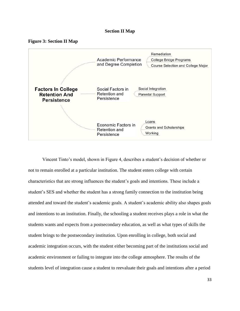### **Section II Map**





Vincent Tinto's model, shown in Figure 4, describes a student's decision of whether or not to remain enrolled at a particular institution. The student enters college with certain characteristics that are strong influences the student's goals and intentions. These include a student's SES and whether the student has a strong family connection to the institution being attended and toward the student's academic goals. A student's academic ability also shapes goals and intentions to an institution. Finally, the schooling a student receives plays a role in what the students wants and expects from a postsecondary education, as well as what types of skills the student brings to the postsecondary institution. Upon enrolling in college, both social and academic integration occurs, with the student either becoming part of the institutions social and academic environment or failing to integrate into the college atmosphere. The results of the students level of integration cause a student to reevaluate their goals and intentions after a period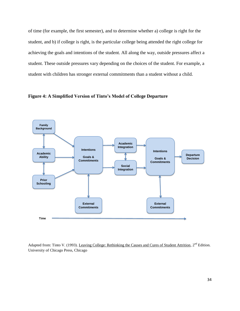of time (for example, the first semester), and to determine whether a) college is right for the student, and b) if college is right, is the particular college being attended the right college for achieving the goals and intentions of the student. All along the way, outside pressures affect a student. These outside pressures vary depending on the choices of the student. For example, a student with children has stronger external commitments than a student without a child.

**Figure 4: A Simplified Version of Tinto's Model of College Departure** 



Adapted from: Tinto V. (1993). Leaving College: Rethinking the Causes and Cures of Student Attrition, 2<sup>nd</sup> Edition. University of Chicago Press, Chicago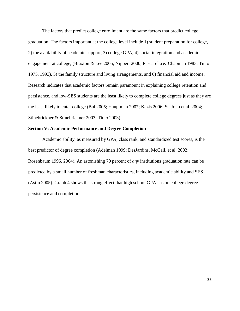The factors that predict college enrollment are the same factors that predict college graduation. The factors important at the college level include 1) student preparation for college, 2) the availability of academic support, 3) college GPA, 4) social integration and academic engagement at college, (Braxton & Lee 2005; Nippert 2000; Pascarella & Chapman 1983; Tinto 1975, 1993), 5) the family structure and living arrangements, and 6) financial aid and income. Research indicates that academic factors remain paramount in explaining college retention and persistence, and low-SES students are the least likely to complete college degrees just as they are the least likely to enter college (Bui 2005; Hauptman 2007; Kazis 2006; St. John et al. 2004; Stinebrickner & Stinebrickner 2003; Tinto 2003).

## **Section V: Academic Performance and Degree Completion**

Academic ability, as measured by GPA, class rank, and standardized test scores, is the best predictor of degree completion (Adelman 1999; DesJardins, McCall, et al. 2002; Rosenbaum 1996, 2004). An astonishing 70 percent of *any* institutions graduation rate can be predicted by a small number of freshman characteristics, including academic ability and SES (Astin 2005). Graph 4 shows the strong effect that high school GPA has on college degree persistence and completion.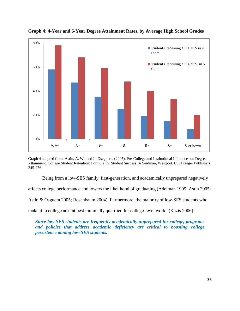

**Graph 4: 4-Year and 6-Year Degree Attainment Rates, by Average High School Grades**

Graph 4 adapted from: Astin, A. W., and L. Oseguera. (2005). Pre-College and Institutional Influences on Degree Attainment. College Student Retention: Formula for Student Success. A Seidman, Westport, CT, Praeger Publishers: 245-276.

Being from a low-SES family, first-generation, and academically unprepared negatively

affects college performance and lowers the likelihood of graduating (Adelman 1999; Astin 2005;

Astin & Osguera 2005; Rosenbaum 2004). Furthermore, the majority of low-SES students who

make it to college are "at best minimally qualified for college-level work" (Kazis 2006).

*Since low-SES students are frequently academically unprepared for college, programs and policies that address academic deficiency are critical to boosting college persistence among low-SES students.*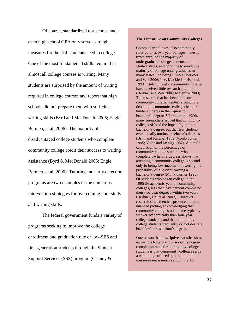Of course, standardized test scores, and even high school GPA only serve as rough measures for the skill students need in college. One of the most fundamental skills required in almost all college courses is writing. Many students are surprised by the amount of writing required in college courses and report that high schools did not prepare them with sufficient writing skills (Byrd and MacDonald 2005; Engle, Bermeo, et al. 2006). The majority of disadvantaged college students who complete community college credit their success to writing assistance (Byrd & MacDonald 2005; Engle, Bermeo, et al. 2006). Tutoring and early detection programs are two examples of the numerous intervention strategies for overcoming poor study and writing skills.

The federal government funds a variety of programs seeking to improve the college enrollment and graduation rate of low-SES and first-generation students through the Student Support Services (SSS) program (Chaney &

#### **The Literature on Community Colleges**

Community colleges, also commonly referred to as two-year colleges, have at times enrolled the majority of undergraduate college students in the United States, and continue to enroll the majority of college undergraduates in many states, including Illinois (Berkner and Wei 2006; Lee, Mackie-Lewis, et al. 1993). Unfortunately, community colleges have received little research attention (Berkner and Wei 2006; Melguizo 2009). The research that has been done on community colleges centers around one debate: do community colleges help or hinder students in their quest for bachelor's degrees? Through the 1980s many researchers argued that community colleges offered the hope of gaining a bachelor's degree, but that few students ever actually attained bachelor's degrees (Brint and Karabel 1989; Monk-Turner 1995; Valez and Javalgi 1987). A simple calculation of the percentage of community college students who complete bachelor's degrees shows that attending a community college is second only to being low-income in lowering the probability of a student earning a bachelor's degree (Monk-Turner 1995). Of students who began college in the 1995-96 academic year at community colleges, less than five percent completed their two-year degrees within two years (Berkner, He, et al. 2002). However, research since then has produced a more nuanced picture, acknowledging that community college students are typically weaker academically than four-year college students, and that community college students frequently do not desire a bachelor's or associate's degree.

One reason that descriptive statistics show dismal bachelor's and associate's degree completion rates for community college students is that community colleges serve a wide range of needs (in addition to measurement issues, see footnote 12).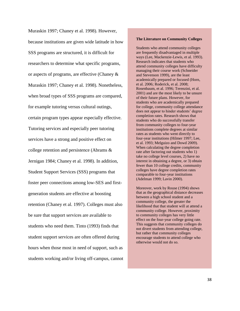Muraskin 1997; Chaney et al. 1998). However, because institutions are given wide latitude in how SSS programs are structured, it is difficult for researchers to determine what specific programs, or aspects of programs, are effective (Chaney & Muraskin 1997; Chaney et al. 1998). Nonetheless, when broad types of SSS programs are compared, for example tutoring versus cultural outings, certain program types appear especially effective. Tutoring services and especially peer tutoring services have a strong and positive effect on college retention and persistence (Abrams & Jernigan 1984; Chaney et al. 1998). In addition, Student Support Services (SSS) programs that foster peer connections among low-SES and firstgeneration students are effective at boosting retention (Chaney et al. 1997). Colleges must also be sure that support services are available to students who need them. Tinto (1993) finds that student support services are often offered during hours when those most in need of support, such as students working and/or living off-campus, cannot

#### **The Literature on Community Colleges**

Students who attend community colleges are frequently disadvantaged in multiple ways (Lee, Mackenzie-Lewis, et al. 1993). Research indicates that students who attend community colleges have difficulty managing their course work (Schneider and Stevenson 1999), are the least academically prepared or focused (Horn, et al. 2006; Roderick, et al. 2008; Rosenbaum, et al. 1996; Terenzini, et al. 2001) and are the most likely to be unsure of their future plans. However, for students who are academically prepared for college, community college attendance does not appear to hinder students' degree completion rates. Research shows that students who do successfully transfer from community colleges to four-year institutions complete degrees at similar rates as students who went directly to four-year institutions (Hilmer 1997; Lee, et al. 1993; Melguizo and Dowd 2009). When calculating the degree completion rate after factoring out students who 1) take no college level courses, 2) have no interest in obtaining a degree, or 3) obtain fewer than 10 college credits, community colleges have degree completion rates comparable to four-year institutions (Adelman 1999; Lavin 2000).

Moreover, work by Rouse (1994) shows that as the geographical distance decreases between a high school student and a community college, the greater the likelihood that that student will at attend a community college. However, proximity to community colleges has very little effect on the four-year college going rate. This suggests that community colleges do not divert students from attending college, but rather that community colleges encourage students to attend college who otherwise would not do so.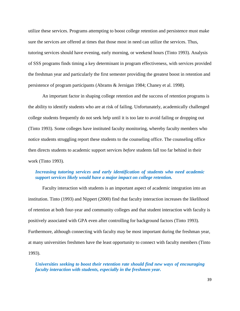utilize these services. Programs attempting to boost college retention and persistence must make sure the services are offered at times that those most in need can utilize the services. Thus, tutoring services should have evening, early morning, or weekend hours (Tinto 1993). Analysis of SSS programs finds timing a key determinant in program effectiveness, with services provided the freshman year and particularly the first semester providing the greatest boost in retention and persistence of program participants (Abrams & Jernigan 1984; Chaney et al. 1998).

An important factor in shaping college retention and the success of retention programs is the ability to identify students who are at risk of failing. Unfortunately, academically challenged college students frequently do not seek help until it is too late to avoid failing or dropping out (Tinto 1993). Some colleges have instituted faculty monitoring, whereby faculty members who notice students struggling report these students to the counseling office. The counseling office then directs students to academic support services *before* students fall too far behind in their work (Tinto 1993).

# *Increasing tutoring services and early identification of students who need academic support services likely would have a major impact on college retention.*

Faculty interaction with students is an important aspect of academic integration into an institution. Tinto (1993) and Nippert (2000) find that faculty interaction increases the likelihood of retention at both four-year and community colleges and that student interaction with faculty is positively associated with GPA even after controlling for background factors (Tinto 1993). Furthermore, although connecting with faculty may be most important during the freshman year, at many universities freshmen have the least opportunity to connect with faculty members (Tinto 1993).

*Universities seeking to boost their retention rate should find new ways of encouraging faculty interaction with students, especially in the freshmen year.*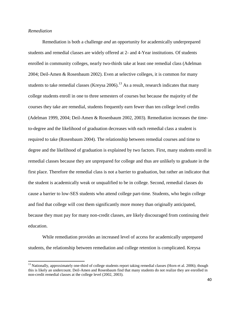#### *Remediation*

 $\overline{\phantom{a}}$ 

Remediation is both a challenge *and* an opportunity for academically underprepared students and remedial classes are widely offered at 2- and 4-Year institutions. Of students enrolled in community colleges, nearly two-thirds take at least one remedial class (Adelman 2004; Deil-Amen & Rosenbaum 2002). Even at selective colleges, it is common for many students to take remedial classes (Kreysa 2006).<sup>13</sup> As a result, research indicates that many college students enroll in one to three semesters of courses but because the majority of the courses they take are remedial, students frequently earn fewer than ten college level credits (Adelman 1999, 2004; Deil-Amen & Rosenbaum 2002, 2003). Remediation increases the timeto-degree and the likelihood of graduation decreases with each remedial class a student is required to take (Rosenbaum 2004). The relationship between remedial courses and time to degree and the likelihood of graduation is explained by two factors. First, many students enroll in remedial classes because they are unprepared for college and thus are unlikely to graduate in the first place. Therefore the remedial class is not a barrier to graduation, but rather an indicator that the student is academically weak or unqualified to be in college. Second, remedial classes do cause a barrier to low-SES students who attend college part-time. Students, who begin college and find that college will cost them significantly more money than originally anticipated, because they must pay for many non-credit classes, are likely discouraged from continuing their education.

While remediation provides an increased level of access for academically unprepared students, the relationship between remediation and college retention is complicated. Kreysa

<sup>&</sup>lt;sup>13</sup> Nationally, approximately one-third of college students report taking remedial classes (Horn et al. 2006); though this is likely an undercount. Deil-Amen and Rosenbaum find that many students do not realize they are enrolled in non-credit remedial classes at the college level (2002, 2003).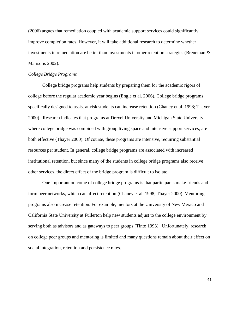(2006) argues that remediation coupled with academic support services could significantly improve completion rates. However, it will take additional research to determine whether investments in remediation are better than investments in other retention strategies (Breneman & Marisotis 2002).

#### *College Bridge Programs*

College bridge programs help students by preparing them for the academic rigors of college before the regular academic year begins (Engle et al. 2006). College bridge programs specifically designed to assist at-risk students can increase retention (Chaney et al. 1998; Thayer 2000). Research indicates that programs at Drexel University and Michigan State University, where college bridge was combined with group living space and intensive support services, are both effective (Thayer 2000). Of course, these programs are intensive, requiring substantial resources per student. In general, college bridge programs are associated with increased institutional retention, but since many of the students in college bridge programs also receive other services, the direct effect of the bridge program is difficult to isolate.

One important outcome of college bridge programs is that participants make friends and form peer networks, which can affect retention (Chaney et al. 1998; Thayer 2000). Mentoring programs also increase retention. For example, mentors at the University of New Mexico and California State University at Fullerton help new students adjust to the college environment by serving both as advisors and as gateways to peer groups (Tinto 1993). Unfortunately, research on college peer groups and mentoring is limited and many questions remain about their effect on social integration, retention and persistence rates.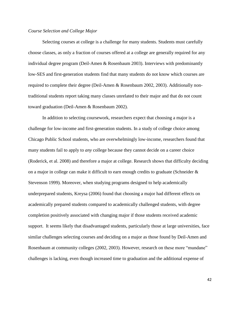## *Course Selection and College Major*

Selecting courses at college is a challenge for many students. Students must carefully choose classes, as only a fraction of courses offered at a college are generally required for any individual degree program (Deil-Amen & Rosenbaum 2003). Interviews with predominantly low-SES and first-generation students find that many students do not know which courses are required to complete their degree (Deil-Amen & Rosenbaum 2002, 2003). Additionally nontraditional students report taking many classes unrelated to their major and that do not count toward graduation (Deil-Amen & Rosenbaum 2002).

In addition to selecting coursework, researchers expect that choosing a major is a challenge for low-income and first-generation students. In a study of college choice among Chicago Public School students, who are overwhelmingly low-income, researchers found that many students fail to apply to *any* college because they cannot decide on a career choice (Roderick, et al. 2008) and therefore a major at college. Research shows that difficulty deciding on a major in college can make it difficult to earn enough credits to graduate (Schneider & Stevenson 1999). Moreover, when studying programs designed to help academically underprepared students, Kreysa (2006) found that choosing a major had different effects on academically prepared students compared to academically challenged students, with degree completion positively associated with changing major if those students received academic support. It seems likely that disadvantaged students, particularly those at large universities, face similar challenges selecting courses and deciding on a major as those found by Deil-Amen and Rosenbaum at community colleges (2002, 2003). However, research on these more "mundane" challenges is lacking, even though increased time to graduation and the additional expense of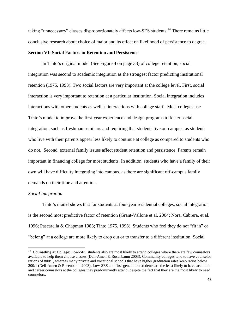taking "unnecessary" classes disproportionately affects low-SES students.<sup>14</sup> There remains little conclusive research about choice of major and its effect on likelihood of persistence to degree.

# **Section VI: Social Factors in Retention and Persistence**

In Tinto's original model (See Figure 4 on page 33) of college retention, social integration was second to academic integration as the strongest factor predicting institutional retention (1975, 1993). Two social factors are very important at the college level. First, social interaction is very important to retention at a particular institution. Social integration includes interactions with other students as well as interactions with college staff. Most colleges use Tinto's model to improve the first-year experience and design programs to foster social integration, such as freshman seminars and requiring that students live on-campus; as students who live with their parents appear less likely to continue at college as compared to students who do not. Second, external family issues affect student retention and persistence. Parents remain important in financing college for most students. In addition, students who have a family of their own will have difficulty integrating into campus, as there are significant off-campus family demands on their time and attention.

#### *Social Integration*

Tinto's model shows that for students at four-year residential colleges, social integration is the second most predictive factor of retention (Grant-Vallone et al. 2004; Nora, Cabrera, et al. 1996; Pascarella & Chapman 1983; Tinto 1975, 1993). Students who feel they do not "fit in" or "belong" at a college are more likely to drop out or to transfer to a different institution. Social

<sup>&</sup>lt;sup>14</sup> **Counseling at College:** Low-SES students also are most likely to attend colleges where there are few counselors available to help them choose classes (Deil-Amen & Rosenbaum 2003). Community colleges tend to have counselor rations of 800:1, whereas many private and vocational schools that have higher graduation rates keep ratios below 200:1 (Deil-Amen & Rosenbaum 2003). Low-SES and first-generation students are the least likely to have academic and career counselors at the colleges they predominantly attend, despite the fact that they are the most likely to need counselors.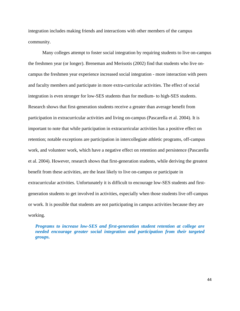integration includes making friends and interactions with other members of the campus community.

Many colleges attempt to foster social integration by requiring students to live on-campus the freshmen year (or longer). Breneman and Merisotis (2002) find that students who live oncampus the freshmen year experience increased social integration - more interaction with peers and faculty members and participate in more extra-curricular activities. The effect of social integration is even stronger for low-SES students than for medium- to high-SES students. Research shows that first-generation students receive a greater than average benefit from participation in extracurricular activities and living on-campus (Pascarella et al. 2004). It is important to note that while participation in extracurricular activities has a positive effect on retention; notable exceptions are participation in intercollegiate athletic programs, off-campus work, and volunteer work, which have a negative effect on retention and persistence (Pascarella et al. 2004). However, research shows that first-generation students, while deriving the greatest benefit from these activities, are the least likely to live on-campus or participate in extracurricular activities. Unfortunately it is difficult to encourage low-SES students and firstgeneration students to get involved in activities, especially when those students live off-campus or work. It is possible that students are not participating in campus activities because they are working.

*Programs to increase low-SES and first-generation student retention at college are needed encourage greater social integration and participation from their targeted groups.*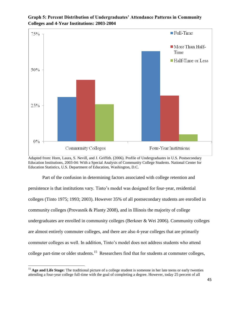

**Graph 5: Percent Distribution of Undergraduates' Attendance Patterns in Community Colleges and 4-Year Institutions: 2003-2004**

Adapted from: Horn, Laura, S. Nevill, and J. Griffith. (2006). Profile of Undergraduates in U.S. Postsecondary Education Institutions, 2003-04: With a Special Analysis of Community College Students. National Center for Education Statistics, U.S. Department of Education, Washington, D.C.

Part of the confusion in determining factors associated with college retention and persistence is that institutions vary. Tinto's model was designed for four-year, residential colleges (Tinto 1975; 1993; 2003). However 35% of all postsecondary students are enrolled in community colleges (Provasnik & Planty 2008), and in Illinois the majority of college undergraduates are enrolled in community colleges (Berkner & Wei 2006). Community colleges are almost entirely commuter colleges, and there are also 4-year colleges that are primarily commuter colleges as well. In addition, Tinto's model does not address students who attend college part-time or older students.<sup>15</sup> Researchers find that for students at commuter colleges,

 $\overline{a}$ 

<sup>&</sup>lt;sup>15</sup> Age and Life Stage: The traditional picture of a college student is someone in her late teens or early twenties attending a four-year college full-time with the goal of completing a degree. However, today 25 percent of all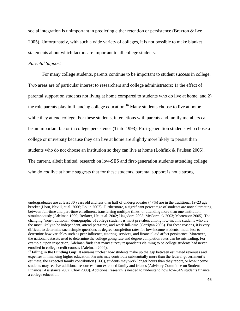social integration is unimportant in predicting either retention or persistence (Braxton & Lee 2005). Unfortunately, with such a wide variety of colleges, it is not possible to make blanket statements about which factors are important to all college students.

### *Parental Support*

l

For many college students, parents continue to be important to student success in college. Two areas are of particular interest to researchers and college administrators: 1) the effect of parental support on students not living at home compared to students who do live at home, and 2) the role parents play in financing college education.<sup>16</sup> Many students choose to live at home while they attend college. For these students, interactions with parents and family members can be an important factor in college persistence (Tinto 1993). First-generation students who chose a college or university because they can live at home are slightly more likely to persist than students who do not choose an institution so they can live at home (Lohfink & Paulsen 2005). The current, albeit limited, research on low-SES and first-generation students attending college who do *not* live at home suggests that for these students, parental support is not a strong

undergraduates are at least 30 years old and less than half of undergraduates (47%) are in the traditional 19-23 age bracket (Horn, Nevill, et al. 2006; Louie 2007). Furthermore, a significant percentage of students are now alternating between full-time and part-time enrollment, transferring multiple times, or attending more than one institution simultaneously (Adelman 1999; Berkner, He, et al. 2002; Hagedorn 2005; McCormick 2003; Mortenson 2005). The changing "non-traditional" demographic of college students is most prevalent among low-income students who are the most likely to be independent, attend part-time, and work full-time (Corrigan 2003). For these reasons, it is very difficult to determine such simple questions as degree completion rates for low-income students, much less to determine how variables such as peer influence, tutoring, services, and financial aid affect persistence. Moreover, the national datasets used to determine the college going rate and degree completion rates can be misleading. For example, upon inspection, Adelman finds that many survey respondents claiming to be college students had never enrolled in college credit courses (Adelman 2004).

<sup>&</sup>lt;sup>16</sup> **Filling in the Funding Gap:** It remains unclear how students make up the gap between estimated revenues and expenses in financing higher education. Parents may contribute substantially more than the federal government's estimate, the expected family contribution (EFC), students may work longer hours than they report, or low-income students may receive additional resources from extended family and friends (Advisory Committee on Student Financial Assistance 2002; Choy 2000). Additional research is needed to understand how low-SES students finance a college education.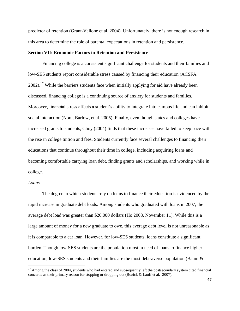predictor of retention (Grant-Vallone et al. 2004). Unfortunately, there is not enough research in this area to determine the role of parental expectations in retention and persistence.

#### **Section VII: Economic Factors in Retention and Persistence**

Financing college is a consistent significant challenge for students and their families and low-SES students report considerable stress caused by financing their education (ACSFA 2002).<sup>17</sup> While the barriers students face when initially applying for aid have already been discussed, financing college is a continuing source of anxiety for students and families. Moreover, financial stress affects a student's ability to integrate into campus life and can inhibit social interaction (Nora, Barlow, et al. 2005). Finally, even though states and colleges have increased grants to students, Choy (2004) finds that these increases have failed to keep pace with the rise in college tuition and fees. Students currently face several challenges to financing their educations that continue throughout their time in college, including acquiring loans and becoming comfortable carrying loan debt, finding grants and scholarships, and working while in college.

#### *Loans*

 $\overline{a}$ 

The degree to which students rely on loans to finance their education is evidenced by the rapid increase in graduate debt loads. Among students who graduated with loans in 2007, the average debt load was greater than \$20,000 dollars (Ho 2008, November 11). While this is a large amount of money for a new graduate to owe, this average debt level is not unreasonable as it is comparable to a car loan. However, for low-SES students, loans constitute a significant burden. Though low-SES students are the population most in need of loans to finance higher education, low-SES students and their families are the most debt-averse population (Baum &

<sup>&</sup>lt;sup>17</sup> Among the class of 2004, students who had entered and subsequently left the postsecondary system cited financial concerns as their primary reason for stopping or dropping out (Bozick & Lauff et al. 2007).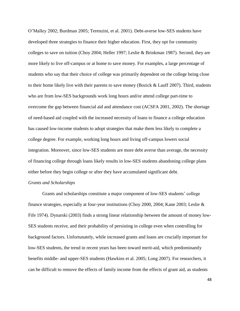O'Malley 2002; Burdman 2005; Terenzini, et al. 2001). Debt-averse low-SES students have developed three strategies to finance their higher education. First, they opt for community colleges to save on tuition (Choy 2004; Heller 1997; Leslie & Brinkman 1987). Second, they are more likely to live off-campus or at home to save money. For examples, a large percentage of students who say that their choice of college was primarily dependent on the college being close to their home likely live with their parents to save money (Bozick & Lauff 2007). Third, students who are from low-SES backgrounds work long hours and/or attend college part-time to overcome the gap between financial aid and attendance cost (ACSFA 2001, 2002). The shortage of need-based aid coupled with the increased necessity of loans to finance a college education has caused low-income students to adopt strategies that make them less likely to complete a college degree. For example, working long hours and living off-campus lowers social integration. Moreover, since low-SES students are more debt averse than average, the necessity of financing college through loans likely results in low-SES students abandoning college plans either before they begin college or after they have accumulated significant debt.

### *Grants and Scholarships*

Grants and scholarships constitute a major component of low-SES students' college finance strategies, especially at four-year institutions (Choy 2000, 2004; Kane 2003; Leslie & Fife 1974). Dynarski (2003) finds a strong linear relationship between the amount of money low-SES students receive, and their probability of persisting in college even when controlling for background factors. Unfortunately, while increased grants and loans are crucially important for low-SES students, the trend in recent years has been toward merit-aid, which predominantly benefits middle- and upper-SES students (Hawkins et al. 2005; Long 2007). For researchers, it can be difficult to remove the effects of family income from the effects of grant aid, as students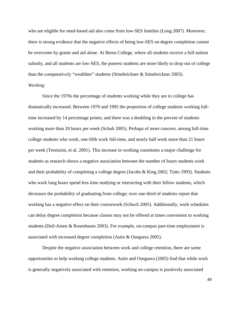who are eligible for need-based aid also come from low-SES families (Long 2007). Moreover, there is strong evidence that the negative effects of being low-SES on degree completion cannot be overcome by grants and aid alone. At Berea College, where all students receive a full-tuition subsidy, and all students are low-SES, the poorest students are more likely to drop out of college than the comparatively "wealthier" students (Stinebrickner & Stinebrickner 2003). *Working* 

# Since the 1970s the percentage of students working while they are in college has dramatically increased. Between 1970 and 1995 the proportion of college students working fulltime increased by 14 percentage points; and there was a doubling in the percent of students working more than 20 hours per week (Schuh 2005). Perhaps of more concern, among full-time college students who work, one-fifth work full-time, and nearly half work more than 21 hours per week (Terenzini, et al. 2001). This increase in working constitutes a major challenge for students as research shows a negative association between the number of hours students work and their probability of completing a college degree (Jacobs & King 2002; Tinto 1993). Students who work long hours spend less time studying or interacting with their fellow students, which decreases the probability of graduating from college; over one-third of students report that working has a negative effect on their coursework (Schuch 2005). Additionally, work schedules can delay degree completion because classes may not be offered at times convenient to working students (Deil-Amen & Rosenbaum 2003). For example, on-campus part-time employment is associated with increased degree completion (Astin & Oseguera 2005).

Despite the negative association between work and college retention, there are some opportunities to help working college students. Astin and Oseguera (2005) find that while work is generally negatively associated with retention, working on-campus is positively associated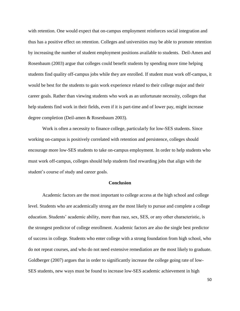with retention. One would expect that on-campus employment reinforces social integration and thus has a positive effect on retention. Colleges and universities may be able to promote retention by increasing the number of student employment positions available to students. Deil-Amen and Rosenbaum (2003) argue that colleges could benefit students by spending more time helping students find quality off-campus jobs while they are enrolled. If student must work off-campus, it would be best for the students to gain work experience related to their college major and their career goals. Rather than viewing students who work as an unfortunate necessity, colleges that help students find work in their fields, even if it is part-time and of lower pay, might increase degree completion (Deil-amen & Rosenbaum 2003).

Work is often a necessity to finance college, particularly for low-SES students. Since working on-campus is positively correlated with retention and persistence, colleges should encourage more low-SES students to take on-campus employment. In order to help students who must work off-campus, colleges should help students find rewarding jobs that align with the student's course of study and career goals.

#### **Conclusion**

Academic factors are the most important to college access at the high school and college level. Students who are academically strong are the most likely to pursue and complete a college education. Students' academic ability, more than race, sex, SES, or any other characteristic, is the strongest predictor of college enrollment. Academic factors are also the single best predictor of success in college. Students who enter college with a strong foundation from high school, who do not repeat courses, and who do not need extensive remediation are the most likely to graduate. Goldberger (2007) argues that in order to significantly increase the college going rate of low-SES students, new ways must be found to increase low-SES academic achievement in high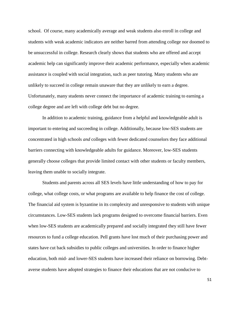school. Of course, many academically average and weak students also enroll in college and students with weak academic indicators are neither barred from attending college nor doomed to be unsuccessful in college. Research clearly shows that students who are offered and accept academic help can significantly improve their academic performance, especially when academic assistance is coupled with social integration, such as peer tutoring. Many students who are unlikely to succeed in college remain unaware that they are unlikely to earn a degree. Unfortunately, many students never connect the importance of academic training to earning a college degree and are left with college debt but no degree.

In addition to academic training, guidance from a helpful and knowledgeable adult is important to entering and succeeding in college. Additionally, because low-SES students are concentrated in high schools *and* colleges with fewer dedicated counselors they face additional barriers connecting with knowledgeable adults for guidance. Moreover, low-SES students generally choose colleges that provide limited contact with other students or faculty members, leaving them unable to socially integrate.

Students and parents across all SES levels have little understanding of how to pay for college, what college costs, or what programs are available to help finance the cost of college. The financial aid system is byzantine in its complexity and unresponsive to students with unique circumstances. Low-SES students lack programs designed to overcome financial barriers. Even when low-SES students are academically prepared and socially integrated they still have fewer resources to fund a college education. Pell grants have lost much of their purchasing power and states have cut back subsidies to public colleges and universities. In order to finance higher education, both mid- and lower-SES students have increased their reliance on borrowing. Debtaverse students have adopted strategies to finance their educations that are not conducive to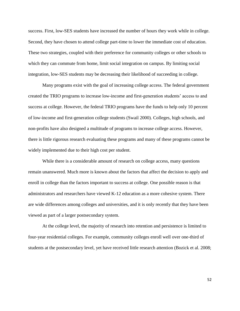success. First, low-SES students have increased the number of hours they work while in college. Second, they have chosen to attend college part-time to lower the immediate cost of education. These two strategies, coupled with their preference for community colleges or other schools to which they can commute from home, limit social integration on campus. By limiting social integration, low-SES students may be decreasing their likelihood of succeeding in college.

Many programs exist with the goal of increasing college access. The federal government created the TRIO programs to increase low-income and first-generation students' access to and success at college. However, the federal TRIO programs have the funds to help only 10 percent of low-income and first-generation college students (Swail 2000). Colleges, high schools, and non-profits have also designed a multitude of programs to increase college access. However, there is little rigorous research evaluating these programs and many of these programs cannot be widely implemented due to their high cost per student.

While there is a considerable amount of research on college access, many questions remain unanswered. Much more is known about the factors that affect the decision to apply and enroll in college than the factors important to success at college. One possible reason is that administrators and researchers have viewed K-12 education as a more cohesive system. There are wide differences among colleges and universities, and it is only recently that they have been viewed as part of a larger postsecondary system.

At the college level, the majority of research into retention and persistence is limited to four-year residential colleges. For example, community colleges enroll well over one-third of students at the postsecondary level, yet have received little research attention (Bozick et al. 2008;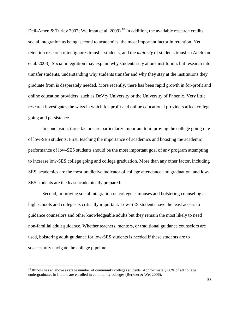Deil-Amen & Turley 2007; Wellman et al. 2009).<sup>18</sup> In addition, the available research credits social integration as being, second to academics, the most important factor in retention. Yet retention research often ignores transfer students, and the *majority* of students transfer (Adelman et al. 2003). Social integration may explain why students stay at one institution, but research into transfer students, understanding why students transfer and why they stay at the institutions they graduate from is desperately needed. More recently, there has been rapid growth in for-profit and online education providers, such as DeVry University or the University of Phoenix. Very little research investigates the ways in which for-profit and online educational providers affect college going and persistence.

In conclusion, three factors are particularly important to improving the college going rate of low-SES students. First, teaching the importance of academics and boosting the academic performance of low-SES students should be the most important goal of any program attempting to increase low-SES college going and college graduation. More than any other factor, including SES, academics are the most predictive indicator of college attendance and graduation, and low-SES students are the least academically prepared.

Second, improving social integration on college campuses and bolstering counseling at high schools and colleges is critically important. Low-SES students have the least access to guidance counselors and other knowledgeable adults but they remain the most likely to need non-familial adult guidance. Whether teachers, mentors, or traditional guidance counselors are used, bolstering adult guidance for low-SES students is needed if these students are to successfully navigate the college pipeline.

 $\overline{a}$ 

<sup>&</sup>lt;sup>18</sup> Illinois has an above average number of community colleges students. Approximately 60% of all college undergraduates in Illinois are enrolled in community colleges (Berkner & Wei 2006).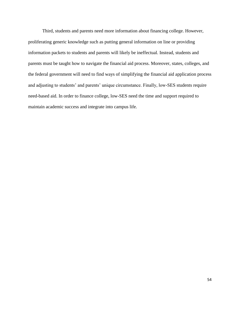Third, students and parents need more information about financing college. However, proliferating generic knowledge such as putting general information on line or providing information packets to students and parents will likely be ineffectual. Instead, students and parents must be taught how to navigate the financial aid process. Moreover, states, colleges, and the federal government will need to find ways of simplifying the financial aid application process and adjusting to students' and parents' unique circumstance. Finally, low-SES students require need-based aid. In order to finance college, low-SES need the time and support required to maintain academic success and integrate into campus life.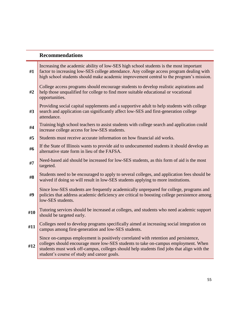# **Recommendations**

| #1  | Increasing the academic ability of low-SES high school students is the most important<br>factor to increasing low-SES college attendance. Any college access program dealing with<br>high school students should make academic improvement central to the program's mission.                                           |
|-----|------------------------------------------------------------------------------------------------------------------------------------------------------------------------------------------------------------------------------------------------------------------------------------------------------------------------|
| #2  | College access programs should encourage students to develop realistic aspirations and<br>help those unqualified for college to find more suitable educational or vocational<br>opportunities.                                                                                                                         |
| #3  | Providing social capital supplements and a supportive adult to help students with college<br>search and application can significantly affect low-SES and first-generation college<br>attendance.                                                                                                                       |
| #4  | Training high school teachers to assist students with college search and application could<br>increase college access for low-SES students.                                                                                                                                                                            |
| #5  | Students must receive accurate information on how financial aid works.                                                                                                                                                                                                                                                 |
| #6  | If the State of Illinois wants to provide aid to undocumented students it should develop an<br>alternative state form in lieu of the FAFSA.                                                                                                                                                                            |
| #7  | Need-based aid should be increased for low-SES students, as this form of aid is the most<br>targeted.                                                                                                                                                                                                                  |
| #8  | Students need to be encouraged to apply to several colleges, and application fees should be<br>waived if doing so will result in low-SES students applying to more institutions.                                                                                                                                       |
| #9  | Since low-SES students are frequently academically unprepared for college, programs and<br>policies that address academic deficiency are critical to boosting college persistence among<br>low-SES students.                                                                                                           |
| #10 | Tutoring services should be increased at colleges, and students who need academic support<br>should be targeted early.                                                                                                                                                                                                 |
| #11 | Colleges need to develop programs specifically aimed at increasing social integration on<br>campus among first-generation and low-SES students.                                                                                                                                                                        |
| #12 | Since on-campus employment is positively correlated with retention and persistence,<br>colleges should encourage more low-SES students to take on-campus employment. When<br>students must work off-campus, colleges should help students find jobs that align with the<br>student's course of study and career goals. |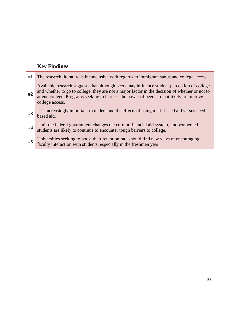# **Key Findings**

| #1 | The research literature is inconclusive with regards to immigrant status and college access.                                                                                                                                                                                                                 |
|----|--------------------------------------------------------------------------------------------------------------------------------------------------------------------------------------------------------------------------------------------------------------------------------------------------------------|
| #2 | Available research suggests that although peers may influence student perception of college<br>and whether to go to college, they are not a major factor in the decision of whether or not to<br>attend college. Programs seeking to harness the power of peers are not likely to improve<br>college access. |
| #3 | It is increasingly important to understand the effects of using merit-based aid versus need-<br>based aid.                                                                                                                                                                                                   |
| #4 | Until the federal government changes the current financial aid system, undocumented<br>students are likely to continue to encounter tough barriers to college.                                                                                                                                               |
| #5 | Universities seeking to boost their retention rate should find new ways of encouraging<br>faculty interaction with students, especially in the freshmen year.                                                                                                                                                |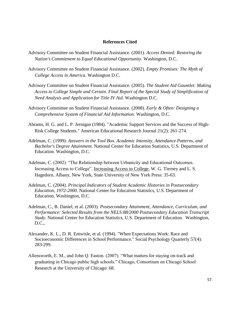### **References Cited**

- Advisory Committee on Student Financial Assistance. (2001). *Access Denied: Restoring the Nation's Commitment to Equal Educational Opportunity*. Washington, D.C.
- Advisory Committee on Student Financial Assistance. (2002). *Empty Promises: The Myth of College Access in America*. Washington D.C.
- Advisory Committee on Student Financial Assistance. (2005). *The Student Aid Gauntlet: Making Access to College Simple and Certain. Final Report of the Special Study of Simplification of Need Analysis and Application for Title IV Aid*. Washington D.C.
- Advisory Committee on Student Financial Assistance. (2008). *Early & Often: Designing a Comprehensive System of Financial Aid Information*. Washington, D.C.
- Abrams, H. G. and L. P. Jernigan (1984). "Academic Support Services and the Success of High-Risk College Students." American Educational Research Journal 21(2): 261-274.
- Adelman, C. (1999). *Answers in the Tool Box. Academic Intensity, Attendance Patterns, and Bachelor's Degree Attainment.* National Center for Education Statistics, U.S. Department of Education. Washington, D.C.
- Adelman, C. (2002). "The Relationship between Urbanicity and Educational Outcomes. Increasing Access to College". Increasing Access to College. W. G. Tierney and L. S. Hagedorn. Albany, New York, State University of New York Press: 35-63.
- Adelman, C. (2004). *Principal Indicators of Student Academic Histories in Postsecondary Education, 1972-2000*. National Center for Education Statistics, U.S. Department of Education. Washington, D.C.
- Adelman, C., B. Daniel, et al. (2003). *Postsecondary Attainment, Attendance, Curriculum, and Performance: Selected Results from the NELS:88/2000 Postsecondary Education Transcript Study*. National Center for Education Statistics, U.S. Department of Education. Washington, D.C.,
- Alexander, K. L., D. R. Entwisle, et al. (1994). "When Expectations Work: Race and Socioeconomic Differences in School Performance." Social Psychology Quarterly 57(4): 283-299.
- Allensworth, E. M., and John Q. Easton. (2007). "What matters for staying on-track and graduating in Chicago public high schools." Chicago, Consortium on Chicago School Research at the University of Chicago: 68.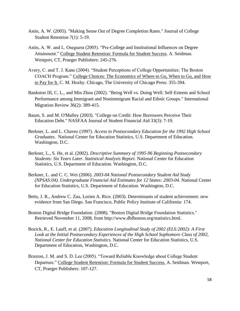- Astin, A. W. (2005). "Making Sense Out of Degree Completion Rates." Journal of College Student Retention 7(1): 5-19.
- Astin, A. W. and L. Oseguera (2005). "Pre-College and Institutional Influences on Degree Attainment." College Student Retention: Formula for Student Success. A. Seidman. Westport, CT, Praeger Publishers: 245-276.
- Avery, C. and T. J. Kane (2004). "Student Perceptions of College Opportunities: The Boston COACH Program." College Choices: The Economics of Where to Go, When to Go, and How to Pay for It. C. M. Hoxby. Chicago, The University of Chicago Press: 355-394.
- Bankston III, C. L., and Min Zhou (2002). "Being Well vs. Doing Well: Self-Esteem and School Performance among Immigrant and Nonimmigrant Racial and Ethnic Groups." International Migration Review 36(2): 389-415.
- Baum, S. and M. O'Malley (2003). "College on Credit: How Borrowers Perceive Their Education Debt." NASFAA Journal of Student Financial Aid 33(3): 7-19.
- Berkner, L. and L. Chavez (1997). *Access to Postsecondary Education for the 1992 High School Graduates.* National Center for Education Statistics, U.S. Department of Education. Washington, D.C.
- Berkner, L., S. He, et al. (2002). *Descriptive Summary of 1995-96 Beginning Postsecondary Students: Six Years Later. Statistical Analysis Report.* National Center for Education Statistics, U.S. Department of Education. Washington, D.C.
- Berkner, L. and C. C. Wei (2006). *2003-04 National Postsecondary Student Aid Study (NPSAS:04). Undergraduate Financial Aid Estimates for 12 States: 2003-04*. National Center for Education Statistics, U.S. Department of Education. Washington, D.C.
- Betts, J. R., Andrew C. Zau, Lorien A. Rice. (2003). Determinants of student achievement: new evidence from San Diego. San Francisco, Public Policy Institute of California: 174.
- Boston Digital Bridge Foundation. (2008). "Boston Digital Bridge Foundation Statistics." Retrieved November 11, 2008, from http://www.dbfboston.org/statistics.html.
- Bozick, R., E. Lauff, et al. (2007). *Education Longitudinal Study of 2002 (ELS:2002): A First Look at the Initial Postsecondary Experiences of the High School Sophomore Class of 2002, National Center for Education Statistics*. National Center for Education Statistics, U.S. Department of Education, Washington, D.C.
- Braxton, J. M. and S. D. Lee (2005). "Toward Reliable Knowledge about College Student Departure." College Student Retention: Formula for Student Success. A. Seidman. Westport, CT, Praeger Publishers: 107-127.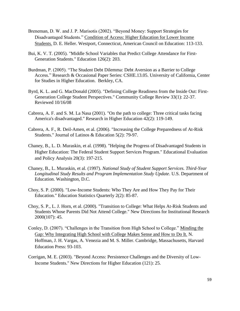- Breneman, D. W. and J. P. Marisotis (2002). "Beyond Money: Support Strategies for Disadvantaged Students." Condition of Access: Higher Education for Lower Income Students. D. E. Heller. Westport, Connecticut, American Council on Education: 113-133.
- Bui, K. V. T. (2005). "Middle School Variables that Predict College Attendance for First-Generation Students." Education 126(2): 203.
- Burdman, P. (2005). "The Student Debt Dilemma: Debt Aversion as a Barrier to College Access." Research & Occasional Paper Series: CSHE.13.05. University of California, Center for Studies in Higher Education. Berkley, CA.
- Byrd, K. L. and G. MacDonald (2005). "Defining College Readiness from the Inside Out: First-Generation College Student Perspectives." Community College Review 33(1): 22-37. Reviewed 10/16/08
- Cabrera, A. F. and S. M. La Nasa (2001). "On the path to college: Three critical tasks facing America's disadvantaged." Research in Higher Education 42(2): 119-149.
- Cabrera, A. F., R. Deil-Amen, et al. (2006). "Increasing the College Preparedness of At-Risk Students." Journal of Latinos & Education 5(2): 79-97.
- Chaney, B., L. D. Muraskin, et al. (1998). "Helping the Progress of Disadvantaged Students in Higher Education: The Federal Student Support Services Program." Educational Evaluation and Policy Analysis 20(3): 197-215.
- Chaney, B., L. Muraskin, et al. (1997). *National Study of Student Support Services. Third-Year Longitudinal Study Results and Program Implementation Study Update*. U.S. Department of Education. Washington, D.C.
- Choy, S. P. (2000). "Low-Income Students: Who They Are and How They Pay for Their Education." Education Statistics Quarterly 2(2): 85-87.
- Choy, S. P., L. J. Horn, et al. (2000). "Transition to College: What Helps At-Risk Students and Students Whose Parents Did Not Attend College." New Directions for Institutional Research 2000(107): 45.
- Conley, D. (2007). "Challenges in the Transition from High School to College." Minding the Gap: Why Integrating High School with College Makes Sense and How to Do It. N. Hoffman, J. H. Vargas, A. Venezia and M. S. Miller. Cambridge, Massachusetts, Harvard Education Press: 93-103.
- Corrigan, M. E. (2003). "Beyond Access: Persistence Challenges and the Diversity of Low-Income Students." New Directions for Higher Education (121): 25.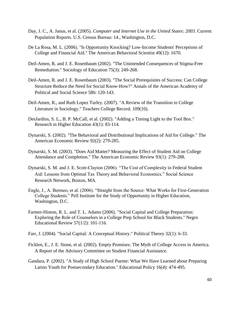- Day, J. C., A. Janus, et al. (2005). *Computer and Internet Use in the United States: 2003*. Current Population Reports. U.S. Census Bureau: 14., Washington, D.C.
- De La Rosa, M. L. (2006). "Is Opportunity Knocking? Low-Income Students' Perceptions of College and Financial Aid." The American Behavioral Scientist 49(12): 1670.
- Deil-Amen, R. and J. E. Rosenbaum (2002). "The Unintended Consequences of Stigma-Free Remediation." Sociology of Education 75(3): 249-268.
- Deil-Amen, R. and J. E. Rosenbaum (2003). "The Social Prerequisites of Success: Can College Structure Reduce the Need for Social Know-How?" Annals of the American Academy of Political and Social Science 586: 120-143.
- Deil-Amen, R., and Ruth Lopez Turley. (2007). "A Review of the Transition to College Literature in Sociology." Teachers College Record. 109(10).
- DesJardins, S. L., B. P. McCall, et al. (2002). "Adding a Timing Light to the Tool Box." Research in Higher Education 43(1): 83-114.
- Dynarski, S. (2002). "The Behavioral and Distributional Implications of Aid for College." The American Economic Review 92(2): 279-285.
- Dynarski, S. M. (2003). "Does Aid Matter? Measuring the Effect of Student Aid on College Attendance and Completion." The American Economic Review 93(1): 279-288.
- Dynarski, S. M. and J. E. Scott-Clayton (2006). "The Cost of Complexity in Federal Student Aid: Lessons from Optimal Tax Theory and Behavioral Economics." Social Science Research Network, Boston, MA.
- Engle, J., A. Bermeo, et al. (2006). "Straight from the Source: What Works for First-Generation College Students." Pell Institute for the Study of Opportunity in Higher Education, Washington, D.C.
- Farmer-Hinton, R. L. and T. L. Adams (2006). "Social Capital and College Preparation: Exploring the Role of Counselors in a College Prep School for Black Students." Negro Educational Review 57(1/2): 101-116.
- Farr, J. (2004). "Social Capital: A Conceptual History." Political Theory 32(1): 6-33.
- Ficklen, E., J. E. Stone, et al. (2002). Empty Promises: The Myth of College Access in America. A Report of the Advisory Committee on Student Financial Assistance.
- Gandara, P. (2002). "A Study of High School Puente: What We Have Learned about Preparing Latino Youth for Postsecondary Education." Educational Policy 16(4): 474-495.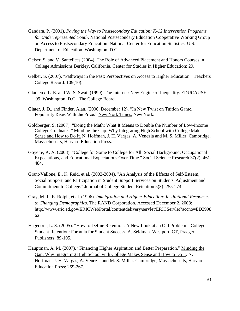- Gandara, P. (2001). *Paving the Way to Postsecondary Education: K-12 Intervention Programs for Underrepresented Youth*. National Postsecondary Education Cooperative Working Group on Access to Postsecondary Education. National Center for Education Statistics, U.S. Department of Education, Washington, D.C.
- Geiser, S. and V. Santelices (2004). The Role of Advanced Placement and Honors Courses in College Admissions Berkley, California, Center for Studies in Higher Education: 29.
- Gelber, S. (2007). "Pathways in the Past: Perspectives on Access to Higher Education." Teachers College Record. 109(10).
- Gladieux, L. E. and W. S. Swail (1999). The Internet: New Engine of Inequality. EDUCAUSE '99, Washington, D.C., The College Board.
- Glater, J. D., and Finder, Alan. (2006, December 12). "In New Twist on Tuition Game, Popularity Rises With the Price." New York Times. New York.
- Goldberger, S. (2007). "Doing the Math: What It Means to Double the Number of Low-Income College Graduates." Minding the Gap: Why Integrating High School with College Makes Sense and How to Do It. N. Hoffman, J. H. Vargas, A. Venezia and M. S. Miller. Cambridge, Massachusetts, Harvard Education Press.
- Goyette, K. A. (2008). "College for Some to College for All: Social Background, Occupational Expectations, and Educational Expectations Over Time." Social Science Research 37(2): 461- 484.
- Grant-Vallone, E., K. Reid, et al. (2003-2004). "An Analysis of the Effects of Self-Esteem, Social Support, and Participation in Student Support Services on Students' Adjustment and Commitment to College." Journal of College Student Retention 5(3): 255-274.
- Gray, M. J., E. Rolph, et al. (1996). *Immigration and Higher Education: Institutional Responses to Changing Demographics*. The RAND Corporation. Accessed December 2, 2008: http://www.eric.ed.gov/ERICWebPortal/contentdelivery/servlet/ERICServlet?accno=ED3998 62
- Hagedorn, L. S. (2005). "How to Define Retention: A New Look at an Old Problem". College Student Retention: Formula for Student Success. A. Seidman. Westport, CT, Praeger Publishers: 89-105.
- Hauptman, A. M. (2007). "Financing Higher Aspiration and Better Preparation." Minding the Gap: Why Integrating High School with College Makes Sense and How to Do It. N. Hoffman, J. H. Vargas, A. Venezia and M. S. Miller. Cambridge, Massachusetts, Harvard Education Press: 259-267.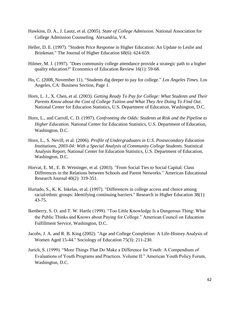- Hawkins, D. A., J. Lautz, et al. (2005). *State of College Admission.* National Association for College Admission Counseling. Alexandria, VA.
- Heller, D. E. (1997). "Student Price Response in Higher Education: An Update to Leslie and Brinkman." The Journal of Higher Education 68(6): 624-659.
- Hilmer, M. J. (1997). "Does community college attendance provide a strategic path to a higher quality education?" Economics of Education Review 16(1): 59-68.
- Ho, C. (2008, November 11). "Students dig deeper to pay for college." *Los Angeles Times*. Los Angeles, CA: Business Section, Page 1.
- Horn, L. J., X. Chen, et al. (2003). *Getting Ready To Pay for College: What Students and Their Parents Know about the Cost of College Tuition and What They Are Doing To Find Out.* National Center for Education Statistics, U.S. Department of Education, Washington, D.C.
- Horn, L., and Carroll, C. D. (1997). *Confronting the Odds: Students at Risk and the Pipeline to Higher Education.* National Center for Education Statistics, U.S. Department of Education, Washington, D.C.
- Horn, L., S. Nevill, et al. (2006). *Profile of Undergraduates in U.S. Postsecondary Education Institutions, 2003-04: With a Special Analysis of Community College Students*. Statistical Analysis Report, National Center for Education Statistics, U.S. Department of Education, Washington, D.C.
- Horvat, E. M., E. B. Weininger, et al. (2003). "From Social Ties to Social Capital: Class Differences in the Relations between Schools and Parent Networks." American Educational Research Journal 40(2): 319-351.
- Hurtado, S., K. K. Inkelas, et al. (1997). "Differences in college access and choice among racial/ethnic groups: Identifying continuing barriers." Research in Higher Education 38(1): 43-75.
- Ikenberry, S. O. and T. W. Hartle (1998). "Too Little Knowledge Is a Dangerous Thing: What the Public Thinks and Knows about Paying for College." American Council on Education Fulfillment Service, Washington, D.C.
- Jacobs, J. A. and R. B. King (2002). "Age and College Completion: A Life-History Analysis of Women Aged 15-44." Sociology of Education 75(3): 211-230.
- Jurich, S. (1999). "More Things That Do Make a Difference for Youth: A Compendium of Evaluations of Youth Programs and Practices. Volume II." American Youth Policy Forum, Washington, D.C.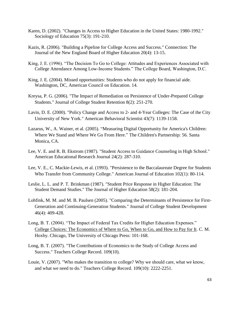- Karen, D. (2002). "Changes in Access to Higher Education in the United States: 1980-1992." Sociology of Education 75(3): 191-210.
- Kazis, R. (2006). "Building a Pipeline for College Access and Success." Connection: The Journal of the New England Board of Higher Education 20(4): 13-15.
- King, J. E. (1996). "The Decision To Go to College: Attitudes and Experiences Associated with College Attendance Among Low-Income Students." The College Board, Washington, D.C.
- King, J. E. (2004). Missed opportunities: Students who do not apply for financial aide. Washington, DC, American Council on Education. 14.
- Kreysa, P. G. (2006). "The Impact of Remediation on Persistence of Under-Prepared College Students." Journal of College Student Retention 8(2): 251-270.
- Lavin, D. E. (2000). "Policy Change and Access to 2- and 4-Year Colleges: The Case of the City University of New York." American Behavioral Scientist 43(7): 1139-1158.
- Lazarus, W., A. Wainer, et al. (2005). "Measuring Digital Opportunity for America's Children: Where We Stand and Where We Go From Here." The Children's Partnership: 56. Santa Monica, CA.
- Lee, V. E. and R. B. Ekstrom (1987). "Student Access to Guidance Counseling in High School." American Educational Research Journal 24(2): 287-310.
- Lee, V. E., C. Mackie-Lewis, et al. (1993). "Persistence to the Baccalaureate Degree for Students Who Transfer from Community College." American Journal of Education 102(1): 80-114.
- Leslie, L. L. and P. T. Brinkman (1987). "Student Price Response in Higher Education: The Student Demand Studies." The Journal of Higher Education 58(2): 181-204.
- Lohfink, M. M. and M. B. Paulsen (2005). "Comparing the Determinants of Persistence for First-Generation and Continuing-Generation Students." Journal of College Student Development 46(4): 409-428.
- Long, B. T. (2004). "The Impact of Federal Tax Credits for Higher Education Expenses." College Choices: The Economics of Where to Go, When to Go, and How to Pay for It. C. M. Hoxby. Chicago, The University of Chicago Press: 101-168.
- Long, B. T. (2007). "The Contributions of Economics to the Study of College Access and Success." Teachers College Record. 109(10).
- Louie, V. (2007). "Who makes the transition to college? Why we should care, what we know, and what we need to do." Teachers College Record. 109(10): 2222-2251.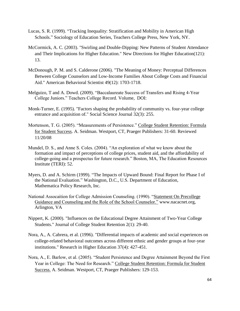- Lucas, S. R. (1999). "Tracking Inequality: Stratification and Mobility in American High Schools." Sociology of Education Series, Teachers College Press, New York, NY.
- McCormick, A. C. (2003). "Swirling and Double-Dipping: New Patterns of Student Attendance and Their Implications for Higher Education." New Directions for Higher Education(121): 13.
- McDonough, P. M. and S. Calderone (2006). "The Meaning of Money: Perceptual Differences Between College Counselors and Low-Income Families About College Costs and Financial Aid." American Behavioral Scientist 49(12): 1703-1718.
- Melguizo, T and A. Dowd. (2009). "Baccalaureate Success of Transfers and Rising 4-Year College Juniors." Teachers College Record. Volume, DOI:
- Monk-Turner, E. (1995). "Factors shaping the probability of community vs. four-year college entrance and acquisition of." Social Science Journal 32(3): 255.
- Mortenson, T. G. (2005). "Measurements of Persistence." College Student Retention: Formula for Student Success. A. Seidman. Westport, CT, Praeger Publishers: 31-60. Reviewed 11/20/08
- Mundel, D. S., and Anne S. Coles. (2004). "An exploration of what we know about the formation and impact of perceptions of college prices, student aid, and the affordability of college-going and a prospectus for future research." Boston, MA, The Education Resources Institute (TERI): 52.
- Myers, D. and A. Schirm (1999). "The Impacts of Upward Bound: Final Report for Phase I of the National Evaluation." Washington, D.C., U.S. Department of Education, Mathematica Policy Research, Inc.
- National Assocaition for College Admission Counseling. (1990). "Statement On Precollege Guidance and Counseling and the Role of the School Counselor." www.nacacnet.org, Arlington, VA
- Nippert, K. (2000). "Influences on the Educational Degree Attainment of Two-Year College Students." Journal of College Student Retention 2(1): 29-40.
- Nora, A., A. Cabrera, et al. (1996). "Differential impacts of academic and social experiences on college-related behavioral outcomes across different ethnic and gender groups at four-year institutions." Research in Higher Education 37(4): 427-451.
- Nora, A., E. Barlow, et al. (2005). "Student Persistence and Degree Attainment Beyond the First Year in College: The Need for Research." College Student Retention: Formula for Student Success. A. Seidman. Westport, CT, Praeger Publishers: 129-153.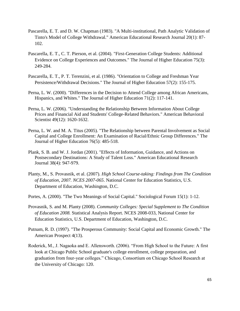- Pascarella, E. T. and D. W. Chapman (1983). "A Multi-institutional, Path Analytic Validation of Tinto's Model of College Withdrawal." American Educational Research Journal 20(1): 87- 102.
- Pascarella, E. T., C. T. Pierson, et al. (2004). "First-Generation College Students: Additional Evidence on College Experiences and Outcomes." The Journal of Higher Education 75(3): 249-284.
- Pascarella, E. T., P. T. Terenzini, et al. (1986). "Orientation to College and Freshman Year Persistence/Withdrawal Decisions." The Journal of Higher Education 57(2): 155-175.
- Perna, L. W. (2000). "Differences in the Decision to Attend College among African Americans, Hispanics, and Whites." The Journal of Higher Education 71(2): 117-141.
- Perna, L. W. (2006). "Understanding the Relationship Between Information About College Prices and Financial Aid and Students' College-Related Behaviors." American Behavioral Scientist 49(12): 1620-1632.
- Perna, L. W. and M. A. Titus (2005). "The Relationship between Parental Involvement as Social Capital and College Enrollment: An Examination of Racial/Ethnic Group Differences." The Journal of Higher Education 76(5): 485-518.
- Plank, S. B. and W. J. Jordan (2001). "Effects of Information, Guidance, and Actions on Postsecondary Destinations: A Study of Talent Loss." American Educational Research Journal 38(4): 947-979.
- Planty, M., S. Provasnik, et al. (2007). *High School Course-taking: Findings from The Condition of Education, 2007. NCES 2007-065*. National Center for Education Statistics, U.S. Department of Education, Washington, D.C.

Portes, A. (2000). "The Two Meanings of Social Capital." Sociological Forum 15(1): 1-12.

- Provasnik, S. and M. Planty (2008). *Community Colleges: Special Supplement to The Condition of Education 2008.* Statistical Analysis Report. NCES 2008-033, National Center for Education Statistics, U.S. Department of Education, Washington, D.C.
- Putnam, R. D. (1997). "The Prosperous Community: Social Capital and Economic Growth." The American Prospect 4(13).
- Roderick, M., J. Nagaoka and E. Allensworth. (2006). "From High School to the Future: A first look at Chicago Public School graduate's college enrollment, college preparation, and graduation from four-year colleges." Chicago, Consortium on Chicago School Research at the University of Chicago: 120.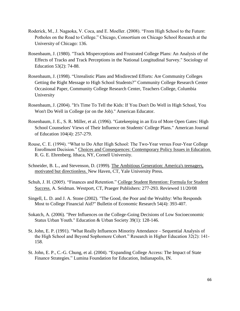- Roderick, M., J. Nagaoka, V. Coca, and E. Moeller. (2008). "From High School to the Future: Potholes on the Road to College." Chicago, Consortium on Chicago School Research at the University of Chicago: 136.
- Rosenbaum, J. (1980). "Track Misperceptions and Frustrated College Plans: An Analysis of the Effects of Tracks and Track Perceptions in the National Longitudinal Survey." Sociology of Education 53(2): 74-88.
- Rosenbaum, J. (1998). "Unrealistic Plans and Misdirected Efforts: Are Community Colleges Getting the Right Message to High School Students?" Community College Research Center Occasional Paper, Community College Research Center, Teachers College, Columbia University
- Rosenbaum, J. (2004). "It's Time To Tell the Kids: If You Don't Do Well in High School, You Won't Do Well in College (or on the Job)." American Educator.
- Rosenbaum, J. E., S. R. Miller, et al. (1996). "Gatekeeping in an Era of More Open Gates: High School Counselors' Views of Their Influence on Students' College Plans." American Journal of Education 104(4): 257-279.
- Rouse, C. E. (1994). "What to Do After High School: The Two-Year versus Four-Year College Enrollment Decision." Choices and Consequences: Contemporary Policy Issues in Education. R. G. E. Ehrenberg. Ithaca, NY, Cornell University.
- Schneider, B. L., and Stevenson, D. (1999). The Ambitious Generation: America's teenagers, motivated but directionless. New Haven, CT, Yale University Press.
- Schuh, J. H. (2005). "Finances and Retention." College Student Retention: Formula for Student Success. A. Seidman. Westport, CT, Praeger Publishers: 277-293. Reviewed 11/20/08
- Singell, L. D. and J. A. Stone (2002). "The Good, the Poor and the Wealthy: Who Responds Most to College Financial Aid?" Bulletin of Economic Research 54(4): 393-407.
- Sokatch, A. (2006). "Peer Influences on the College-Going Decisions of Low Socioeconomic Status Urban Youth." Education & Urban Society 39(1): 128-146.
- St. John, E. P. (1991). "What Really Influences Minority Attendance Sequential Analysis of the High School and Beyond Sophomore Cohort." Research in Higher Education 32(2): 141- 158.
- St. John, E. P., C.-G. Chung, et al. (2004). "Expanding College Access: The Impact of State Finance Strategies." Lumina Foundation for Education, Indianapolis, IN.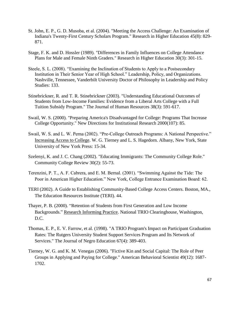- St. John, E. P., G. D. Musoba, et al. (2004). "Meeting the Access Challenge: An Examination of Indiana's Twenty-First Century Scholars Program." Research in Higher Education 45(8): 829- 871.
- Stage, F. K. and D. Hossler (1989). "Differences in Family Influences on College Attendance Plans for Male and Female Ninth Graders." Research in Higher Education 30(3): 301-15.
- Steele, S. L. (2008). "Examining the Inclination of Students to Apply to a Postsecondary Institution in Their Senior Year of High School." Leadership, Policy, and Organizations. Nashville, Tennessee, Vanderbilt University Doctor of Philosophy in Leadership and Policy Studies: 133.
- Stinebrickner, R. and T. R. Stinebrickner (2003). "Understanding Educational Outcomes of Students from Low-Income Families: Evidence from a Liberal Arts College with a Full Tuition Subsidy Program." The Journal of Human Resources 38(3): 591-617.
- Swail, W. S. (2000). "Preparing America's Disadvantaged for College: Programs That Increase College Opportunity." New Directions for Institutional Research 2000(107): 85.
- Swail, W. S. and L. W. Perna (2002). "Pre-College Outreach Programs: A National Perspective." Increasing Access to College. W. G. Tierney and L. S. Hagedorn. Albany, New York, State University of New York Press: 15-34.
- Szelenyi, K. and J. C. Chang (2002). "Educating Immigrants: The Community College Role." Community College Review 30(2): 55-73.
- Terenzini, P. T., A. F. Cabrera, and E. M. Bernal. (2001). "Swimming Against the Tide: The Poor in American Higher Education." New York, College Entrance Examination Board: 62.
- TERI (2002). A Guide to Establishing Community-Based College Access Centers. Boston, MA., The Education Resources Institute (TERI). 44.
- Thayer, P. B. (2000). "Retention of Students from First Generation and Low Income Backgrounds." Research Informing Practice. National TRIO Clearinghouse, Washington, D.C.
- Thomas, E. P., E. V. Farrow, et al. (1998). "A TRIO Program's Impact on Participant Graduation Rates: The Rutgers University Student Support Services Program and Its Network of Services." The Journal of Negro Education 67(4): 389-403.
- Tierney, W. G. and K. M. Venegas (2006). "Fictive Kin and Social Capital: The Role of Peer Groups in Applying and Paying for College." American Behavioral Scientist 49(12): 1687- 1702.